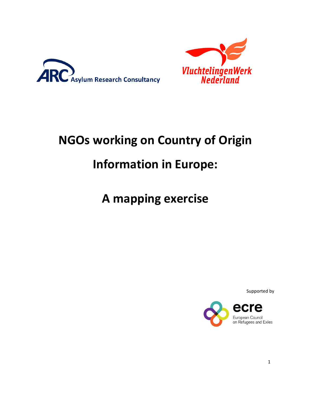



# **NGOs working on Country of Origin Information in Europe:**

## **A mapping exercise**

Supported by

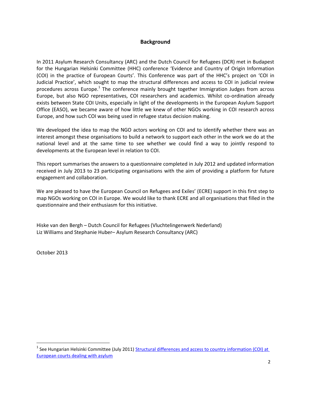#### **Background**

In 2011 Asylum Research Consultancy (ARC) and the Dutch Council for Refugees (DCR) met in Budapest for the Hungarian Helsinki Committee (HHC) conference 'Evidence and Country of Origin Information (COI) in the practice of European Courts'. This Conference was part of the HHC's project on 'COI in Judicial Practice', which sought to map the structural differences and access to COI in judicial review procedures across Europe.<sup>1</sup> The conference mainly brought together Immigration Judges from across Europe, but also NGO representatives, COI researchers and academics. Whilst co-ordination already exists between State COI Units, especially in light of the developments in the European Asylum Support Office (EASO), we became aware of how little we knew of other NGOs working in COI research across Europe, and how such COI was being used in refugee status decision making.

We developed the idea to map the NGO actors working on COI and to identify whether there was an interest amongst these organisations to build a network to support each other in the work we do at the national level and at the same time to see whether we could find a way to jointly respond to developments at the European level in relation to COI.

This report summarises the answers to a questionnaire completed in July 2012 and updated information received in July 2013 to 23 participating organisations with the aim of providing a platform for future engagement and collaboration.

We are pleased to have the European Council on Refugees and Exiles' (ECRE) support in this first step to map NGOs working on COI in Europe. We would like to thank ECRE and all organisations that filled in the questionnaire and their enthusiasm for this initiative.

Hiske van den Bergh – Dutch Council for Refugees (Vluchtelingenwerk Nederland) Liz Williams and Stephanie Huber– Asylum Research Consultancy (ARC)

October 2013

l

<sup>&</sup>lt;sup>1</sup> See Hungarian Helsinki Committee (July 2011) Structural differences and access to country information (COI) at [European courts dealing with asylum](http://helsinki.hu/wp-content/uploads/EN_Structural-differences-and-access-to-country-information-COI-at-European-courts-dealing-with-asylum.pdf)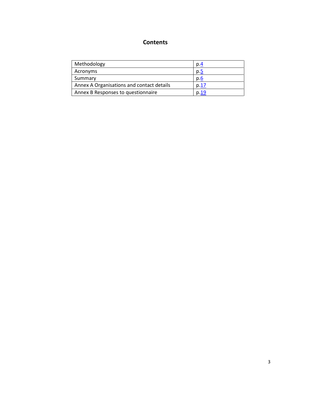### **Contents**

| Methodology                               | p.4  |
|-------------------------------------------|------|
| Acronyms                                  | p.5  |
| Summary                                   | p.6  |
| Annex A Organisations and contact details | p.17 |
| Annex B Responses to questionnaire        | p.19 |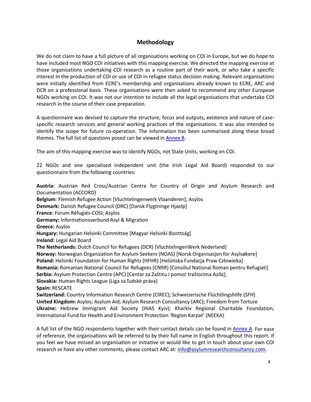#### **Methodology**

<span id="page-3-0"></span>We do not claim to have a full picture of all organisations working on COI in Europe, but we do hope to have included most NGO COI initiatives with this mapping exercise. We directed the mapping exercise at those organisations undertaking COI research as a routine part of their work, or who take a specific interest in the production of COI or use of COI in refugee status decision making. Relevant organisations were initially identified from ECRE's membership and organisations already known to ECRE, ARC and DCR on a professional basis. These organisations were then asked to recommend any other European NGOs working on COI. It was not our intention to include all the legal organisations that undertake COI research in the course of their case preparation.

A questionnaire was devised to capture the structure, focus and outputs, existence and nature of casespecific research services and general working practices of the organisations. It was also intended to identify the scope for future co-operation. The information has been summarised along these broad themes. The full list of questions posed can be viewed i[n Annex B.](#page-20-0)

The aim of this mapping exercise was to identify NGOs, not State Units, working on COI.

22 NGOs and one specialised independent unit (the Irish Legal Aid Board) responded to our questionnaire from the following countries:

**Austria**: Austrian Red Cross/Austrian Centre for Country of Origin and Asylum Research and Documentation (ACCORD) **Belgium**: Flemish Refugee Action [Vluchtelingenwerk Vlaanderen]; Asylos **Denmark:** Danish Refugee Council (DRC) [Dansk Flygtninge Hjaelp] **France**: Forum Réfugiés-COSI; Asylos **Germany:** Informationsverbund Asyl & Migration **Greece:** Asylos **Hungary:** Hungarian Helsinki Committee [Magyar Helsinki Bizottság] **Ireland:** Legal Aid Board **The Netherlands:** Dutch Council for Refugees (DCR) [VluchtelingenWerk Nederland] **Norway:** Norwegian Organization for Asylum Seekers (NOAS) [Norsk Organisasjon for Asylsøkere] **Poland:** Helsinki Foundation for Human Rights (HFHR) [Helsińska Fundacja Praw Człowieka] **Romania:** Romanian National Council for Refugees (CNRR) [Consiliul National Roman pentru Refugiati] **Serbia:** Asylum Protection Centre (APC) [Centar za Zaštitu i pomoć tražiocima Azila]; **Slovakia:** Human Rights League (Liga za ľudské práva) **Spain:** RESCATE **Switzerland:** Country Information Research Centre (CIREC); Schweizerische Flüchtlingshilfe (SFH) **United Kingdom:** Asylos; Asylum Aid; Asylum Research Consultancy (ARC); Freedom from Torture **Ukraine:** Hebrew Immigrant Aid Society (HIAS Kyiv); Kharkiv Regional Charitable Foundation; International Fund for Health and Environment Protection 'Region Karpat' (NEEKA)

A full list of the NGO respondents together with their contact details can be found in [Annex A.](#page-17-0) For ease of reference, the organisations will be referred to by their full name in English throughout this report. If you feel we have missed an organisation or initiative or would like to get in touch about your own COI research or have any other comments, please contact ARC at[: info@asylumresearchconsultancy.com.](mailto:info@asylumresearchconsultancy.com)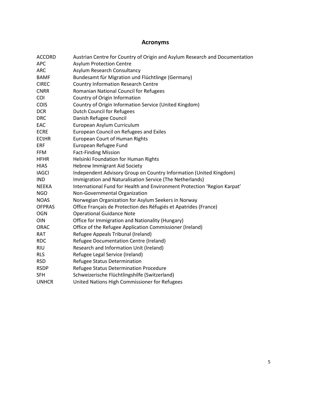### **Acronyms**

<span id="page-4-0"></span>

| <b>ACCORD</b> | Austrian Centre for Country of Origin and Asylum Research and Documentation |
|---------------|-----------------------------------------------------------------------------|
| <b>APC</b>    | <b>Asylum Protection Centre</b>                                             |
| <b>ARC</b>    | Asylum Research Consultancy                                                 |
| <b>BAMF</b>   | Bundesamt für Migration und Flüchtlinge (Germany)                           |
| <b>CIREC</b>  | <b>Country Information Research Centre</b>                                  |
| <b>CNRR</b>   | Romanian National Council for Refugees                                      |
| COI           | Country of Origin Information                                               |
| <b>COIS</b>   | Country of Origin Information Service (United Kingdom)                      |
| <b>DCR</b>    | <b>Dutch Council for Refugees</b>                                           |
| <b>DRC</b>    | Danish Refugee Council                                                      |
| EAC           | European Asylum Curriculum                                                  |
| <b>ECRE</b>   | European Council on Refugees and Exiles                                     |
| <b>ECtHR</b>  | <b>European Court of Human Rights</b>                                       |
| <b>ERF</b>    | European Refugee Fund                                                       |
| <b>FFM</b>    | <b>Fact-Finding Mission</b>                                                 |
| <b>HFHR</b>   | Helsinki Foundation for Human Rights                                        |
| <b>HIAS</b>   | <b>Hebrew Immigrant Aid Society</b>                                         |
| <b>IAGCI</b>  | Independent Advisory Group on Country Information (United Kingdom)          |
| <b>IND</b>    | Immigration and Naturalisation Service (The Netherlands)                    |
| <b>NEEKA</b>  | International Fund for Health and Environment Protection 'Region Karpat'    |
| <b>NGO</b>    | Non-Governmental Organization                                               |
| <b>NOAS</b>   | Norwegian Organization for Asylum Seekers in Norway                         |
| <b>OFPRAS</b> | Office Français de Protection des Réfugiés et Apatrides (France)            |
| <b>OGN</b>    | <b>Operational Guidance Note</b>                                            |
| OIN           | Office for Immigration and Nationality (Hungary)                            |
| <b>ORAC</b>   | Office of the Refugee Application Commissioner (Ireland)                    |
| <b>RAT</b>    | Refugee Appeals Tribunal (Ireland)                                          |
| <b>RDC</b>    | Refugee Documentation Centre (Ireland)                                      |
| <b>RIU</b>    | Research and Information Unit (Ireland)                                     |
| <b>RLS</b>    | Refugee Legal Service (Ireland)                                             |
| <b>RSD</b>    | Refugee Status Determination                                                |
| <b>RSDP</b>   | Refugee Status Determination Procedure                                      |
| <b>SFH</b>    | Schweizerische Flüchtlingshilfe (Switzerland)                               |
| <b>UNHCR</b>  | United Nations High Commissioner for Refugees                               |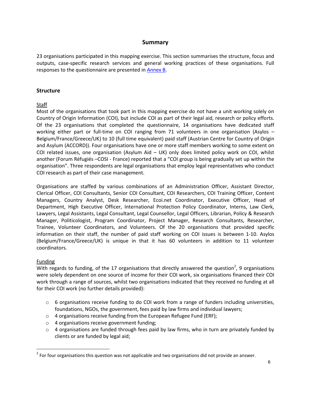#### **Summary**

<span id="page-5-0"></span>23 organisations participated in this mapping exercise. This section summarises the structure, focus and outputs, case-specific research services and general working practices of these organisations. Full responses to the questionnaire are presented in [Annex B.](#page-20-0)

#### **Structure**

#### Staff

Most of the organisations that took part in this mapping exercise do not have a unit working solely on Country of Origin Information (COI), but include COI as part of their legal aid, research or policy efforts. Of the 23 organisations that completed the questionnaire, 14 organisations have dedicated staff working either part or full-time on COI ranging from 71 volunteers in one organisation (Asylos – Belgium/France/Greece/UK) to 10 (full time equivalent) paid staff (Austrian Centre for Country of Origin and Asylum (ACCORD)). Four organisations have one or more staff members working to some extent on COI related issues, one organisation (Asylum Aid  $-$  UK) only does limited policy work on COI, whilst another (Forum Réfugiés –COSI - France) reported that a "COI group is being gradually set up within the organisation". Three respondents are legal organisations that employ legal representatives who conduct COI research as part of their case management.

Organisations are staffed by various combinations of an Administration Officer, Assistant Director, Clerical Officer, COI Consultants, Senior COI Consultant, COI Researchers, COI Training Officer, Content Managers, Country Analyst, Desk Researcher, Ecoi.net Coordinator, Executive Officer, Head of Department, High Executive Officer, International Protection Policy Coordinator, Interns, Law Clerk, Lawyers, Legal Assistants, Legal Consultant, Legal Counsellor, Legal Officers, Librarian, Policy & Research Manager, Politicologist, Program Coordinator, Project Manager, Research Consultants, Researcher, Trainee, Volunteer Coordinators, and Volunteers. Of the 20 organisations that provided specific information on their staff, the number of paid staff working on COI issues is between 1-10. Asylos (Belgium/France/Greece/UK) is unique in that it has 60 volunteers in addition to 11 volunteer coordinators.

#### Funding

 $\overline{\phantom{a}}$ 

With regards to funding, of the 17 organisations that directly answered the question<sup>2</sup>, 9 organisations were solely dependent on one source of income for their COI work, six organisations financed their COI work through a range of sources, whilst two organisations indicated that they received no funding at all for their COI work (no further details provided):

- $\circ$  6 organisations receive funding to do COI work from a range of funders including universities, foundations, NGOs, the government, fees paid by law firms and individual lawyers;
- o 4 organisations receive funding from the European Refugee Fund (ERF);
- o 4 organisations receive government funding;
- $\circ$  4 organisations are funded through fees paid by law firms, who in turn are privately funded by clients or are funded by legal aid;

 $^2$  For four organisations this question was not applicable and two organisations did not provide an answer.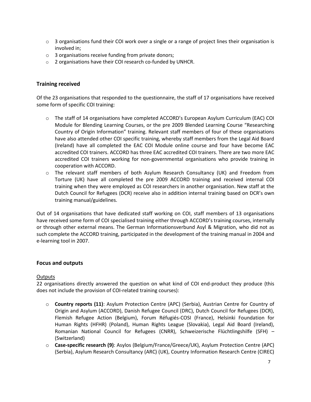- $\circ$  3 organisations fund their COI work over a single or a range of project lines their organisation is involved in;
- o 3 organisations receive funding from private donors;
- o 2 organisations have their COI research co-funded by UNHCR.

#### **Training received**

Of the 23 organisations that responded to the questionnaire, the staff of 17 organisations have received some form of specific COI training:

- o The staff of 14 organisations have completed ACCORD's European Asylum Curriculum (EAC) COI Module for Blending Learning Courses, or the pre 2009 Blended Learning Course "Researching Country of Origin Information" training. Relevant staff members of four of these organisations have also attended other COI specific training, whereby staff members from the Legal Aid Board (Ireland) have all completed the EAC COI Module online course and four have become EAC accredited COI trainers. ACCORD has three EAC accredited COI trainers. There are two more EAC accredited COI trainers working for non-governmental organisations who provide training in cooperation with ACCORD.
- o The relevant staff members of both Asylum Research Consultancy (UK) and Freedom from Torture (UK) have all completed the pre 2009 ACCORD training and received internal COI training when they were employed as COI researchers in another organisation. New staff at the Dutch Council for Refugees (DCR) receive also in addition internal training based on DCR's own training manual/guidelines.

Out of 14 organisations that have dedicated staff working on COI, staff members of 13 organisations have received some form of COI specialised training either through ACCORD's training courses, internally or through other external means. The German Informationsverbund Asyl & Migration, who did not as such complete the ACCORD training, participated in the development of the training manual in 2004 and e-learning tool in 2007.

#### **Focus and outputs**

#### **Outputs**

22 organisations directly answered the question on what kind of COI end-product they produce (this does not include the provision of COI-related training courses):

- o **Country reports (11)**: Asylum Protection Centre (APC) (Serbia), Austrian Centre for Country of Origin and Asylum (ACCORD), Danish Refugee Council (DRC), Dutch Council for Refugees (DCR), Flemish Refugee Action (Belgium), Forum Réfugiés-COSI (France), Helsinki Foundation for Human Rights (HFHR) (Poland), Human Rights League (Slovakia), Legal Aid Board (Ireland), Romanian National Council for Refugees (CNRR), Schweizerische Flüchtlingshilfe (SFH) – (Switzerland)
- o **Case-specific research (9)**: Asylos (Belgium/France/Greece/UK), Asylum Protection Centre (APC) (Serbia), Asylum Research Consultancy (ARC) (UK), Country Information Research Centre (CIREC)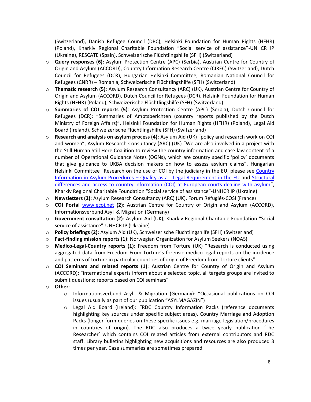(Switzerland), Danish Refugee Council (DRC), Helsinki Foundation for Human Rights (HFHR) (Poland), Kharkiv Regional Charitable Foundation "Social service of assistance"-UNHCR IP (Ukraine), RESCATE (Spain), Schweizerische Flüchtlingshilfe (SFH) (Switzerland)

- o **Query responses (6)**: Asylum Protection Centre (APC) (Serbia), Austrian Centre for Country of Origin and Asylum (ACCORD), Country Information Research Centre (CIREC) (Switzerland), Dutch Council for Refugees (DCR), Hungarian Helsinki Committee, Romanian National Council for Refugees (CNRR) – Romania, Schweizerische Flüchtlingshilfe (SFH) (Switzerland)
- o **Thematic research (5)**: Asylum Research Consultancy (ARC) (UK), Austrian Centre for Country of Origin and Asylum (ACCORD), Dutch Council for Refugees (DCR), Helsinki Foundation for Human Rights (HFHR) (Poland), Schweizerische Flüchtlingshilfe (SFH) (Switzerland)
- o **Summaries of COI reports (5)**: Asylum Protection Centre (APC) (Serbia), Dutch Council for Refugees (DCR): "Summaries of Ambtsberichten (country reports published by the Dutch Ministry of Foreign Affairs)", Helsinki Foundation for Human Rights (HFHR) (Poland), Legal Aid Board (Ireland), Schweizerische Flüchtlingshilfe (SFH) (Switzerland)
- o **Research and analysis on asylum process (4)**: Asylum Aid (UK) "policy and research work on COI and women", Asylum Research Consultancy (ARC) (UK) "We are also involved in a project with the Still Human Still Here Coalition to review the country information and case law content of a number of Operational Guidance Notes (OGNs), which are country specific 'policy' documents that give guidance to UKBA decision makers on how to assess asylum claims", Hungarian Helsinki Committee "Research on the use of COI by the judiciary in the EU, please see [Country](http://helsinki.hu/en/country-information-in-asylum-procedures-%E2%80%93-quality-as-a-legal-requirement-in-the-eu)  Information in Asylum Procedures – [Quality as a Legal Requirement in the EU](http://helsinki.hu/en/country-information-in-asylum-procedures-%E2%80%93-quality-as-a-legal-requirement-in-the-eu) and [Structural](http://helsinki.hu/en/structural-differences-and-access-to-country-information-coi-at-european-courts-dealing-with-asylum)  [differences and access to country information \(COI\) at European courts dealing with asylum](http://helsinki.hu/en/structural-differences-and-access-to-country-information-coi-at-european-courts-dealing-with-asylum)", Kharkiv Regional Charitable Foundation "Social service of assistance"-UNHCR IP (Ukraine)
- o **Newsletters (2)**: Asylum Research Consultancy (ARC) (UK), Forum Réfugiés-COSI (France)
- o **COI Portal** [www.ecoi.net](http://www.ecoi.net/) **(2)**: Austrian Centre for Country of Origin and Asylum (ACCORD), Informationsverbund Asyl & Migration (Germany)
- o **Government consultation (2)**: Asylum Aid (UK), Kharkiv Regional Charitable Foundation "Social service of assistance"-UNHCR IP (Ukraine)
- o **Policy briefings (2)**: Asylum Aid (UK), Schweizerische Flüchtlingshilfe (SFH) (Switzerland)
- o **Fact-finding mission reports (1)**: Norwegian Organization for Asylum Seekers (NOAS)
- o **Medico-Legal-Country reports (1)**: Freedom from Torture (UK) "Research is conducted using aggregated data from Freedom From Torture's forensic medico-legal reports on the incidence and patterns of torture in particular countries of origin of Freedom from Torture clients"
- o **COI Seminars and related reports (1)**: Austrian Centre for Country of Origin and Asylum (ACCORD): "international experts inform about a selected topic, all targets groups are invited to submit questions; reports based on COI seminars"
- o **Other**:
	- o Informationsverbund Asyl & Migration (Germany): "Occasional publications on COI issues (usually as part of our publication "ASYLMAGAZIN")
	- o Legal Aid Board (Ireland): "RDC Country Information Packs (reference documents highlighting key sources under specific subject areas). Country Marriage and Adoption Packs (longer form queries on these specific issues e.g. marriage legislation/procedures in countries of origin). The RDC also produces a twice yearly publication 'The Researcher' which contains COI related articles from external contributors and RDC staff. Library bulletins highlighting new acquisitions and resources are also produced 3 times per year. Case summaries are sometimes prepared"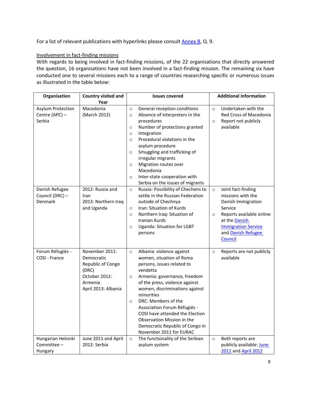For a list of relevant publications with hyperlinks please consult **Annex B**, Q. 9.

#### Involvement in fact-finding missions

With regards to being involved in fact-finding missions, of the 22 organisations that directly answered the question, 16 organisations have not been involved in a fact-finding mission. The remaining six have conducted one to several missions each to a range of countries researching specific or numerous issues as illustrated in the table below:

| Organisation                                  | <b>Country visited and</b><br>Year                                                                            | <b>Issues covered</b>                                                                                                                                                                                                                                                                                                                                                                                                                    | <b>Additional information</b>                                                                                                                                                                                     |
|-----------------------------------------------|---------------------------------------------------------------------------------------------------------------|------------------------------------------------------------------------------------------------------------------------------------------------------------------------------------------------------------------------------------------------------------------------------------------------------------------------------------------------------------------------------------------------------------------------------------------|-------------------------------------------------------------------------------------------------------------------------------------------------------------------------------------------------------------------|
| Asylum Protection<br>Centre (APC) -<br>Serbia | Macedonia<br>(March 2012)                                                                                     | General reception conditions<br>$\circ$<br>Absence of interpreters in the<br>$\circ$<br>procedures<br>Number of protections granted<br>$\circ$<br>Integration<br>$\circ$<br>Procedural violations in the<br>$\circ$<br>asylum procedure<br>Smuggling and trafficking of<br>$\circ$<br>irregular migrants<br>Migration routes over<br>$\circ$<br>Macedonia<br>Inter-state cooperation with<br>$\circ$<br>Serbia on the issues of migrants | Undertaken with the<br>$\circ$<br>Red Cross of Macedonia<br>Report not publicly<br>$\circ$<br>available                                                                                                           |
| Danish Refugee<br>Council (DRC) -<br>Denmark  | 2012: Russia and<br>Iran<br>2013: Northern Iraq<br>and Uganda                                                 | Russia: Possibility of Chechens to<br>$\circ$<br>settle in the Russian Federation<br>outside of Chechnya<br>Iran: Situation of Kurds<br>$\circ$<br>Northern Iraq: Situation of<br>$\circ$<br>Iranian Kurds<br>Uganda: Situation for LGBT<br>$\circ$<br>persons                                                                                                                                                                           | Joint fact-finding<br>$\circ$<br>missions with the<br>Danish Immigration<br>Service<br>Reports available online<br>$\circ$<br>at the <b>Danish</b><br><b>Immigration Service</b><br>and Danish Refugee<br>Council |
| Forum Réfugiés -<br>COSI - France             | November 2011:<br>Democratic<br>Republic of Congo<br>(DRC)<br>October 2012:<br>Armenia<br>April 2013: Albania | Albania: violence against<br>$\circ$<br>women, situation of Roma<br>persons, issues related to<br>vendetta<br>Armenia: governance, freedom<br>$\circ$<br>of the press, violence against<br>women, discriminations against<br>minorities<br>DRC: Members of the<br>$\circ$<br>Association Forum Réfugiés -<br>COSI have attended the Election<br>Observation Mission in the<br>Democratic Republic of Congo in<br>November 2011 for EURAC | Reports are not publicly<br>$\circ$<br>available                                                                                                                                                                  |
| Hungarian Helsinki<br>Committee -<br>Hungary  | June 2011 and April<br>2012: Serbia                                                                           | The functionality of the Serbian<br>$\circ$<br>asylum system                                                                                                                                                                                                                                                                                                                                                                             | Both reports are<br>$\circ$<br>publicly available: June<br>2011 and April 2012                                                                                                                                    |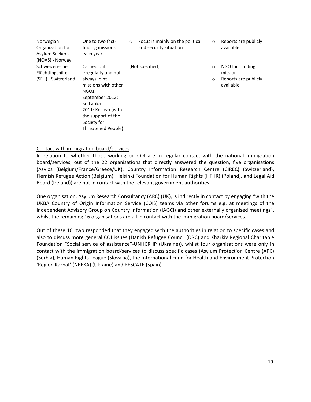| Norwegian<br>Organization for<br>Asylum Seekers<br>(NOAS) - Norway | One to two fact-<br>finding missions<br>each year                                                                                                                                                                | Focus is mainly on the political<br>$\circ$<br>and security situation | $\circ$            | Reports are publicly<br>available                                |
|--------------------------------------------------------------------|------------------------------------------------------------------------------------------------------------------------------------------------------------------------------------------------------------------|-----------------------------------------------------------------------|--------------------|------------------------------------------------------------------|
| Schweizerische<br>Flüchtlingshilfe<br>(SFH) - Switzerland          | Carried out<br>irregularly and not<br>always joint<br>missions with other<br>NGO <sub>s</sub> .<br>September 2012:<br>Sri Lanka<br>2011: Kosovo (with<br>the support of the<br>Society for<br>Threatened People) | [Not specified]                                                       | $\circ$<br>$\circ$ | NGO fact finding<br>mission<br>Reports are publicly<br>available |

#### Contact with immigration board/services

In relation to whether those working on COI are in regular contact with the national immigration board/services, out of the 22 organisations that directly answered the question, five organisations (Asylos (Belgium/France/Greece/UK), Country Information Research Centre (CIREC) (Switzerland), Flemish Refugee Action (Belgium), Helsinki Foundation for Human Rights (HFHR) (Poland), and Legal Aid Board (Ireland)) are not in contact with the relevant government authorities.

One organisation, Asylum Research Consultancy (ARC) (UK), is indirectly in contact by engaging "with the UKBA Country of Origin Information Service (COIS) teams via other forums e.g. at meetings of the Independent Advisory Group on Country Information (IAGCI) and other externally organised meetings", whilst the remaining 16 organisations are all in contact with the immigration board/services.

Out of these 16, two responded that they engaged with the authorities in relation to specific cases and also to discuss more general COI issues (Danish Refugee Council (DRC) and Kharkiv Regional Charitable Foundation "Social service of assistance"-UNHCR IP (Ukraine)), whilst four organisations were only in contact with the immigration board/services to discuss specific cases (Asylum Protection Centre (APC) (Serbia), Human Rights League (Slovakia), the International Fund for Health and Environment Protection 'Region Karpat' (NEEKA) (Ukraine) and RESCATE (Spain).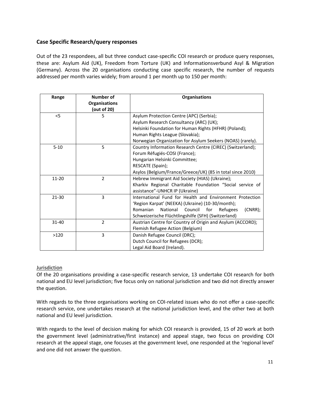#### **Case Specific Research/query responses**

Out of the 23 respondees, all but three conduct case-specific COI research or produce query responses, these are: Asylum Aid (UK), Freedom from Torture (UK) and Informationsverbund Asyl & Migration (Germany). Across the 20 organisations conducting case specific research, the number of requests addressed per month varies widely; from around 1 per month up to 150 per month:

| Range     | <b>Number of</b><br><b>Organisations</b><br>(out of 20) | <b>Organisations</b>                                                                        |
|-----------|---------------------------------------------------------|---------------------------------------------------------------------------------------------|
| < 5       | 5                                                       | Asylum Protection Centre (APC) (Serbia);                                                    |
|           |                                                         | Asylum Research Consultancy (ARC) (UK);                                                     |
|           |                                                         | Helsinki Foundation for Human Rights (HFHR) (Poland);                                       |
|           |                                                         | Human Rights League (Slovakia);                                                             |
|           |                                                         | Norwegian Organization for Asylum Seekers (NOAS) (rarely).                                  |
| $5 - 10$  | 5                                                       | Country Information Research Centre (CIREC) (Switzerland);                                  |
|           |                                                         | Forum Réfugiés-COSI (France);                                                               |
|           |                                                         | Hungarian Helsinki Committee;                                                               |
|           |                                                         | RESCATE (Spain);                                                                            |
|           |                                                         | Asylos (Belgium/France/Greece/UK) (85 in total since 2010)                                  |
| $11 - 20$ | $\overline{2}$                                          | Hebrew Immigrant Aid Society (HIAS) (Ukraine);                                              |
|           |                                                         | Kharkiv Regional Charitable Foundation "Social service of<br>assistance"-UNHCR IP (Ukraine) |
| 21-30     | 3                                                       | International Fund for Health and Environment Protection                                    |
|           |                                                         | 'Region Karpat' (NEEKA) (Ukraine) (10-30/month);                                            |
|           |                                                         | National<br>Council<br>Romanian<br>for<br>(CNRR);<br>Refugees                               |
|           |                                                         | Schweizerische Flüchtlingshilfe (SFH) (Switzerland)                                         |
| 31-40     | $\overline{2}$                                          | Austrian Centre for Country of Origin and Asylum (ACCORD);                                  |
|           |                                                         | Flemish Refugee Action (Belgium)                                                            |
| >120      | 3                                                       | Danish Refugee Council (DRC);                                                               |
|           |                                                         | Dutch Council for Refugees (DCR);                                                           |
|           |                                                         | Legal Aid Board (Ireland).                                                                  |

#### **Jurisdiction**

Of the 20 organisations providing a case-specific research service, 13 undertake COI research for both national and EU level jurisdiction; five focus only on national jurisdiction and two did not directly answer the question.

With regards to the three organisations working on COI-related issues who do not offer a case-specific research service, one undertakes research at the national jurisdiction level, and the other two at both national and EU level jurisdiction.

With regards to the level of decision making for which COI research is provided, 15 of 20 work at both the government level (administrative/first instance) and appeal stage, two focus on providing COI research at the appeal stage, one focuses at the government level, one responded at the 'regional level' and one did not answer the question.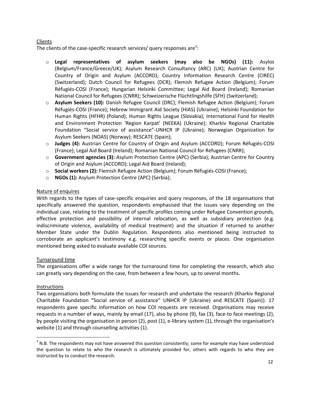#### Clients

The clients of the case-specific research services/ query responses are<sup>3</sup>:

- o **Legal representatives of asylum seekers (may also be NGOs) (11):** Asylos (Belgium/France/Greece/UK); Asylum Research Consultancy (ARC) (UK); Austrian Centre for Country of Origin and Asylum (ACCORD); Country Information Research Centre (CIREC) (Switzerland); Dutch Council for Refugees (DCR); Flemish Refugee Action (Belgium); Forum Réfugiés-COSI (France); Hungarian Helsinki Committee; Legal Aid Board (Ireland); Romanian National Council for Refugees (CNRR); Schweizerische Flüchtlingshilfe (SFH) (Switzerland);
- o **Asylum Seekers (10):** Danish Refugee Council (DRC); Flemish Refugee Action (Belgium); Forum Réfugiés-COSI (France); Hebrew Immigrant Aid Society (HIAS) (Ukraine); Helsinki Foundation for Human Rights (HFHR) (Poland); Human Rights League (Slovakia); International Fund for Health and Environment Protection 'Region Karpat' (NEEKA) (Ukraine); Kharkiv Regional Charitable Foundation "Social service of assistance"-UNHCR IP (Ukraine); Norwegian Organization for Asylum Seekers (NOAS) (Norway); RESCATE (Spain);
- o **Judges (4):** Austrian Centre for Country of Origin and Asylum (ACCORD); Forum Réfugiés-COSI (France); Legal Aid Board (Ireland); Romanian National Council for Refugees (CNRR);
- o **Government agencies (3):** Asylum Protection Centre (APC) (Serbia); Austrian Centre for Country of Origin and Asylum (ACCORD); Legal Aid Board (Ireland);
- o **Social workers (2):** Flemish Refugee Action (Belgium); Forum Réfugiés-COSI (France);
- o **NGOs (1):** Asylum Protection Centre (APC) (Serbia);

#### Nature of enquires

With regards to the types of case-specific enquiries and query responses, of the 18 organisations that specifically answered the question, respondents emphasised that the issues vary depending on the individual case, relating to the treatment of specific profiles coming under Refugee Convention grounds, effective protection and possibility of internal relocation, as well as subsidiary protection (e.g. indiscriminate violence, availability of medical treatment) and the situation if returned to another Member State under the Dublin Regulation. Respondents also mentioned being instructed to corroborate an applicant's testimony e.g. researching specific events or places. One organisation mentioned being asked to evaluate available COI sources.

#### Turnaround time

The organisations offer a wide range for the turnaround time for completing the research, which also can greatly vary depending on the case, from between a few hours, up to several months.

#### Instructions

 $\overline{\phantom{a}}$ 

Two organisations both formulate the issues for research and undertake the research (Kharkiv Regional Charitable Foundation "Social service of assistance" UNHCR IP (Ukraine) and RESCATE (Spain)). 17 respondents gave specific information on how COI requests are received. Organisations may receive requests in a number of ways, mainly by email (17), also by phone (9), fax (3), face-to face meetings (2), by people visiting the organisation in person (2), post (1), e-library system (1), through the organisation's website (1) and through counselling activities (1).

 $3$  N.B. The respondents may not have answered this question consistently; some for example may have understood the question to relate to who the research is ultimately provided for, others with regards to who they are instructed by to conduct the research.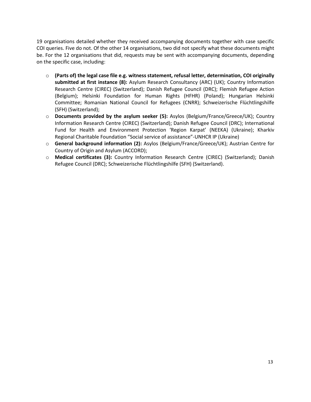19 organisations detailed whether they received accompanying documents together with case specific COI queries. Five do not. Of the other 14 organisations, two did not specify what these documents might be. For the 12 organisations that did, requests may be sent with accompanying documents, depending on the specific case, including:

- o **(Parts of) the legal case file e.g. witness statement, refusal letter, determination, COI originally submitted at first instance (8):** Asylum Research Consultancy (ARC) (UK); Country Information Research Centre (CIREC) (Switzerland); Danish Refugee Council (DRC); Flemish Refugee Action (Belgium); Helsinki Foundation for Human Rights (HFHR) (Poland); Hungarian Helsinki Committee; Romanian National Council for Refugees (CNRR); Schweizerische Flüchtlingshilfe (SFH) (Switzerland);
- o **Documents provided by the asylum seeker (5):** Asylos (Belgium/France/Greece/UK); Country Information Research Centre (CIREC) (Switzerland); Danish Refugee Council (DRC); International Fund for Health and Environment Protection 'Region Karpat' (NEEKA) (Ukraine); Kharkiv Regional Charitable Foundation "Social service of assistance"-UNHCR IP (Ukraine)
- o **General background information (2):** Asylos (Belgium/France/Greece/UK); Austrian Centre for Country of Origin and Asylum (ACCORD);
- o **Medical certificates (3):** Country Information Research Centre (CIREC) (Switzerland); Danish Refugee Council (DRC); Schweizerische Flüchtlingshilfe (SFH) (Switzerland).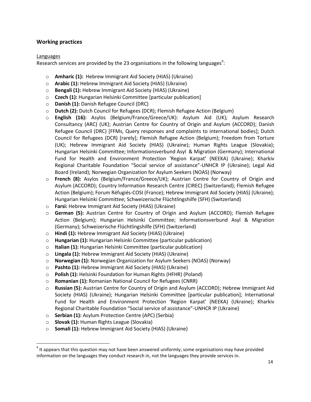#### **Working practices**

#### Languages

Research services are provided by the 23 organisations in the following languages<sup>4</sup>:

- o **Amharic (1):** Hebrew Immigrant Aid Society (HIAS) (Ukraine)
- o **Arabic (1):** Hebrew Immigrant Aid Society (HIAS) (Ukraine)
- o **Bengali (1):** Hebrew Immigrant Aid Society (HIAS) (Ukraine)
- o **Czech (1):** Hungarian Helsinki Committee [particular publication]
- o **Danish (1):** Danish Refugee Council (DRC)
- o **Dutch (2):** Dutch Council for Refugees (DCR); Flemish Refugee Action (Belgium)
- o **English (16):** Asylos (Belgium/France/Greece/UK): Asylum Aid (UK); Asylum Research Consultancy (ARC) (UK); Austrian Centre for Country of Origin and Asylum (ACCORD); Danish Refugee Council (DRC) [FFMs, Query responses and complaints to international bodies]; Dutch Council for Refugees (DCR) [rarely]; Flemish Refugee Action (Belgium); Freedom from Torture (UK); Hebrew Immigrant Aid Society (HIAS) (Ukraine); Human Rights League (Slovakia); Hungarian Helsinki Committee; Informationsverbund Asyl & Migration (Germany); International Fund for Health and Environment Protection 'Region Karpat' (NEEKA) (Ukraine); Kharkiv Regional Charitable Foundation "Social service of assistance"-UNHCR IP (Ukraine); Legal Aid Board (Ireland); Norwegian Organization for Asylum Seekers (NOAS) (Norway)
- o **French (8):** Asylos (Belgium/France/Greece/UK); Austrian Centre for Country of Origin and Asylum (ACCORD); Country Information Research Centre (CIREC) (Switzerland); Flemish Refugee Action (Belgium); Forum Réfugiés-COSI (France); Hebrew Immigrant Aid Society (HIAS) (Ukraine); Hungarian Helsinki Committee; Schweizerische Flüchtlingshilfe (SFH) (Switzerland)
- o **Farsi:** Hebrew Immigrant Aid Society (HIAS) (Ukraine)
- o **German (5):** Austrian Centre for Country of Origin and Asylum (ACCORD); Flemish Refugee Action (Belgium); Hungarian Helsinki Committee; Informationsverbund Asyl & Migration (Germany); Schweizerische Flüchtlingshilfe (SFH) (Switzerland)
- o **Hindi (1):** Hebrew Immigrant Aid Society (HIAS) (Ukraine)
- o **Hungarian (1):** Hungarian Helsinki Committee (particular publication)
- o **Italian (1):** Hungarian Helsinki Committee (particular publication)
- o **Lingala (1):** Hebrew Immigrant Aid Society (HIAS) (Ukraine)
- o **Norwegian (1):** Norwegian Organization for Asylum Seekers (NOAS) (Norway)
- o **Pashto (1):** Hebrew Immigrant Aid Society (HIAS) (Ukraine)
- o **Polish (1):** Helsinki Foundation for Human Rights (HFHR) (Poland)
- o **Romanian (1):** Romanian National Council for Refugees (CNRR)
- o **Russian (5):** Austrian Centre for Country of Origin and Asylum (ACCORD); Hebrew Immigrant Aid Society (HIAS) (Ukraine); Hungarian Helsinki Committee [particular publication]; International Fund for Health and Environment Protection 'Region Karpat' (NEEKA) (Ukraine); Kharkiv Regional Charitable Foundation "Social service of assistance"-UNHCR IP (Ukraine)
- o **Serbian (1):** Asylum Protection Centre (APC) (Serbia)
- o **Slovak (1):** Human Rights League (Slovakia)

 $\overline{a}$ 

o **Somali (1):** Hebrew Immigrant Aid Society (HIAS) (Ukraine)

 $<sup>4</sup>$  It appears that this question may not have been answered uniformly; some organisations may have provided</sup> information on the languages they conduct research in, not the languages they provide services in.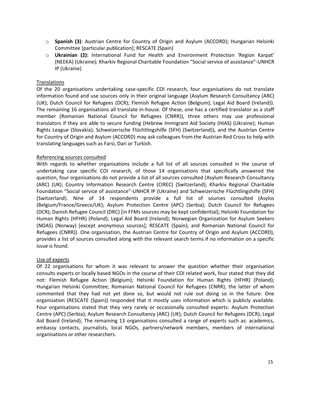- o **Spanish (3)**: Austrian Centre for Country of Origin and Asylum (ACCORD); Hungarian Helsinki Committee [particular publication]; RESCATE (Spain)
- o **Ukrainian (2):** International Fund for Health and Environment Protection 'Region Karpat' (NEEKA) (Ukraine); Kharkiv Regional Charitable Foundation "Social service of assistance"-UNHCR IP (Ukraine)

#### **Translations**

Of the 20 organisations undertaking case-specific COI research, four organisations do not translate information found and use sources only in their original language (Asylum Research Consultancy (ARC) (UK); Dutch Council for Refugees (DCR); Flemish Refugee Action (Belgium); Legal Aid Board (Ireland)). The remaining 16 organisations all translate in-house. Of these, one has a certified translator as a staff member (Romanian National Council for Refugees (CNRR)), three others may use professional translators if they are able to secure funding (Hebrew Immigrant Aid Society (HIAS) (Ukraine); Human Rights League (Slovakia); Schweizerische Flüchtlingshilfe (SFH) (Switzerland)), and the Austrian Centre for Country of Origin and Asylum (ACCORD) may ask colleagues from the Austrian Red Cross to help with translating languages such as Farsi, Dari or Turkish.

#### Referencing sources consulted

With regards to whether organisations include a full list of all sources consulted in the course of undertaking case specific COI research, of those 14 organisations that specifically answered the question, four organisations do not provide a list of all sources consulted (Asylum Research Consultancy (ARC) (UK); Country Information Research Centre (CIREC) (Switzerland); Kharkiv Regional Charitable Foundation "Social service of assistance"-UNHCR IP (Ukraine) and Schweizerische Flüchtlingshilfe (SFH) (Switzerland). Nine of 14 respondents provide a full list of sources consulted (Asylos (Belgium/France/Greece/UK); Asylum Protection Centre (APC) (Serbia); Dutch Council for Refugees (DCR); Danish Refugee Council (DRC) [in FFMs sources may be kept confidential]; Helsinki Foundation for Human Rights (HFHR) (Poland); Legal Aid Board (Ireland); Norwegian Organization for Asylum Seekers (NOAS) (Norway) [except anonymous sources]; RESCATE (Spain); and Romanian National Council for Refugees (CNRR)). One organisation, the Austrian Centre for Country of Origin and Asylum (ACCORD), provides a list of sources consulted along with the relevant search terms if no information on a specific issue is found.

#### Use of experts

Of 22 organisations for whom it was relevant to answer the question whether their organisation consults experts or locally based NGOs in the course of their COI related work, four stated that they did not: Flemish Refugee Action (Belgium); Helsinki Foundation for Human Rights (HFHR) (Poland); Hungarian Helsinki Committee; Romanian National Council for Refugees (CNRR), the latter of whom commented that they had not yet done so, but would not rule out doing so in the future. One organisation (RESCATE (Spain)) responded that it mostly uses information which is publicly available. Four organisations stated that they very rarely or occasionally consulted experts: Asylum Protection Centre (APC) (Serbia); Asylum Research Consultancy (ARC) (UK); Dutch Council for Refugees (DCR); Legal Aid Board (Ireland); The remaining 13 organisations consulted a range of experts such as: academics, embassy contacts, journalists, local NGOs, partners/network members, members of international organisations or other researchers.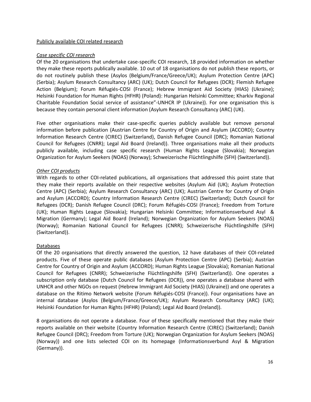#### Publicly available COI related research

#### *Case specific COI research*

Of the 20 organisations that undertake case-specific COI research, 18 provided information on whether they make these reports publically available. 10 out of 18 organisations do not publish these reports, or do not routinely publish these (Asylos (Belgium/France/Greece/UK); Asylum Protection Centre (APC) (Serbia); Asylum Research Consultancy (ARC) (UK); Dutch Council for Refugees (DCR); Flemish Refugee Action (Belgium); Forum Réfugiés-COSI (France); Hebrew Immigrant Aid Society (HIAS) (Ukraine); Helsinki Foundation for Human Rights (HFHR) (Poland): Hungarian Helsinki Committee; Kharkiv Regional Charitable Foundation Social service of assistance"-UNHCR IP (Ukraine)). For one organisation this is because they contain personal client information (Asylum Research Consultancy (ARC) (UK).

Five other organisations make their case-specific queries publicly available but remove personal information before publication (Austrian Centre for Country of Origin and Asylum (ACCORD); Country Information Research Centre (CIREC) (Switzerland), Danish Refugee Council (DRC); Romanian National Council for Refugees (CNRR); Legal Aid Board (Ireland)). Three organisations make all their products publicly available, including case specific research (Human Rights League (Slovakia); Norwegian Organization for Asylum Seekers (NOAS) (Norway); Schweizerische Flüchtlingshilfe (SFH) (Switzerland)).

#### *Other COI products*

With regards to other COI-related publications, all organisations that addressed this point state that they make their reports available on their respective websites (Asylum Aid (UK); Asylum Protection Centre (APC) (Serbia); Asylum Research Consultancy (ARC) (UK); Austrian Centre for Country of Origin and Asylum (ACCORD); Country Information Research Centre (CIREC) (Switzerland); Dutch Council for Refugees (DCR); Danish Refugee Council (DRC); Forum Réfugiés-COSI (France); Freedom from Torture (UK); Human Rights League (Slovakia); Hungarian Helsinki Committee; Informationsverbund Asyl & Migration (Germany); Legal Aid Board (Ireland); Norwegian Organization for Asylum Seekers (NOAS) (Norway); Romanian National Council for Refugees (CNRR); Schweizerische Flüchtlingshilfe (SFH) (Switzerland)).

#### Databases

Of the 20 organisations that directly answered the question, 12 have databases of their COI-related products. Five of these operate public databases (Asylum Protection Centre (APC) (Serbia); Austrian Centre for Country of Origin and Asylum (ACCORD); Human Rights League (Slovakia); Romanian National Council for Refugees (CNRR); Schweizerische Flüchtlingshilfe (SFH) (Switzerland)). One operates a subscription only database (Dutch Council for Refugees (DCR)), one operates a database shared with UNHCR and other NGOs on request (Hebrew Immigrant Aid Society (HIAS) (Ukraine)) and one operates a database on the Ritimo Network website (Forum Réfugiés-COSI (France)). Four organisations have an internal database (Asylos (Belgium/France/Greece/UK); Asylum Research Consultancy (ARC) (UK); Helsinki Foundation for Human Rights (HFHR) (Poland); Legal Aid Board (Ireland)).

8 organisations do not operate a database. Four of these specifically mentioned that they make their reports available on their website (Country Information Research Centre (CIREC) (Switzerland); Danish Refugee Council (DRC); Freedom from Torture (UK); Norwegian Organization for Asylum Seekers (NOAS) (Norway)) and one lists selected COI on its homepage (Informationsverbund Asyl & Migration (Germany)).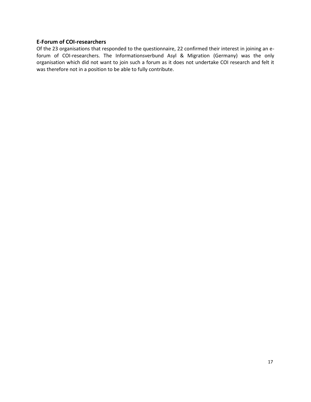#### **E-Forum of COI-researchers**

Of the 23 organisations that responded to the questionnaire, 22 confirmed their interest in joining an eforum of COI-researchers. The Informationsverbund Asyl & Migration (Germany) was the only organisation which did not want to join such a forum as it does not undertake COI research and felt it was therefore not in a position to be able to fully contribute.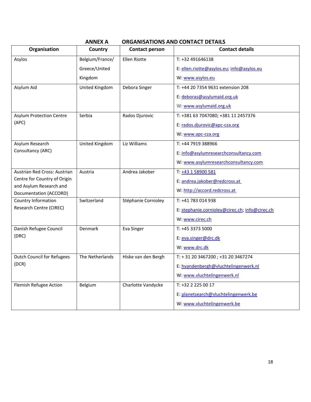<span id="page-17-0"></span>

|                                                   | ANNEX A         |                       | <u>URGANISATIUNS AND CONTACT DETAILS</u>       |
|---------------------------------------------------|-----------------|-----------------------|------------------------------------------------|
| Organisation                                      | Country         | <b>Contact person</b> | <b>Contact details</b>                         |
| Asylos                                            | Belgium/France/ | Ellen Riotte          | T: +32 491646138                               |
|                                                   | Greece/United   |                       | E: ellen.riotte@asylos.eu; info@asylos.eu      |
|                                                   | Kingdom         |                       | W: www.asylos.eu                               |
| Asylum Aid                                        | United Kingdom  | Debora Singer         | T: +44 20 7354 9631 extension 208              |
|                                                   |                 |                       | E: deboras@asylumaid.org.uk                    |
|                                                   |                 |                       | W: www.asylumaid.org.uk                        |
| <b>Asylum Protection Centre</b>                   | Serbia          | Rados Djurovic        | T: +381 63 7047080; +381 11 2457376            |
| (APC)                                             |                 |                       | E: rados.djurovic@apc-cza.org                  |
|                                                   |                 |                       | W: www.apc-cza.org                             |
| Asylum Research                                   | United Kingdom  | Liz Williams          | T: +44 7919 388966                             |
| Consultancy (ARC)                                 |                 |                       | E: info@asylumresearchconsultancy.com          |
|                                                   |                 |                       | W: www.asylumresearchconsultancy.com           |
| Austrian Red Cross: Austrian                      | Austria         | Andrea Jakober        | T: +43 1 58900 581                             |
| Centre for Country of Origin                      |                 |                       | E: andrea.jakober@redcross.at                  |
| and Asylum Research and<br>Documentation (ACCORD) |                 |                       | W: http://accord.redcross.at                   |
| Country Information                               | Switzerland     | Stéphanie Cornioley   | T: +41 783 014 938                             |
| Research Centre (CIREC)                           |                 |                       | E: stephanie.cornioley@cirec.ch; info@cirec.ch |
|                                                   |                 |                       | W: www.cirec.ch                                |
| Danish Refugee Council                            | Denmark         | Eva Singer            | T: +45 3373 5000                               |
| (DRC)                                             |                 |                       | E: eva.singer@drc.dk                           |
|                                                   |                 |                       | W: www.drc.dk                                  |
| <b>Dutch Council for Refugees</b>                 | The Netherlands | Hiske van den Bergh   | T: +31 20 3467200; +31 20 3467274              |
| (DCR)                                             |                 |                       | E: hvandenbergh@vluchtelingenwerk.nl           |
|                                                   |                 |                       | W: www.vluchtelingenwerk.nl                    |
| Flemish Refugee Action                            | Belgium         | Charlotte Vandycke    | T: +32 2 225 00 17                             |
|                                                   |                 |                       | E: planetsearch@vluchtelingenwerk.be           |
|                                                   |                 |                       | W: www.vluchtelingenwerk.be                    |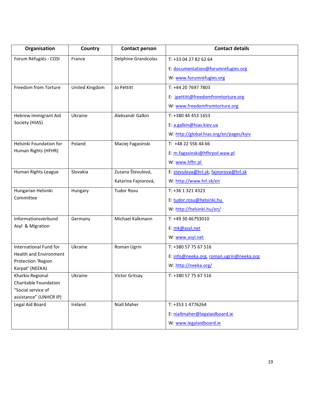| Organisation                                 | Country        | <b>Contact person</b>      | <b>Contact details</b>                   |
|----------------------------------------------|----------------|----------------------------|------------------------------------------|
| Forum Réfugiés - COSI                        | France         | <b>Delphine Grandcolas</b> | T: +33 04 27 82 62 64                    |
|                                              |                |                            | E: documentation@forumrefugies.org       |
|                                              |                |                            | W: www.forumrefugies.org                 |
| Freedom from Torture                         | United Kingdom | Jo Pettitt                 | T: +44 20 7697 7803                      |
|                                              |                |                            | E: jpettitt@freedomfromtorture.org       |
|                                              |                |                            | W: www.freedomfromtorture.org            |
| Hebrew Immigrant Aid                         | Ukraine        | Aleksandr Galkin           | T: +380 44 453 1653                      |
| Society (HIAS)                               |                |                            | E: a.galkin@hias.kiev.ua                 |
|                                              |                |                            | W: http://global.hias.org/en/pages/kyiv  |
| Helsinki Foundation for                      | Poland         | Maciej Fagasinski          | T: +48 22 556 44 66                      |
| Human Rights (HFHR)                          |                |                            | E: m.fagasinski@hfhrpol.waw.pl           |
|                                              |                |                            | W: www.hfhr.pl                           |
| Human Rights League                          | Slovakia       | Zuzana Števulová,          | E: stevulova@hrl.sk; fajnorova@hrl.sk    |
|                                              |                | Katarína Fajnorová,        | W: http://www.hrl.sk/en                  |
| Hungarian Helsinki                           | Hungary        | <b>Tudor Rosu</b>          | T: +36 1 321 4323                        |
| Committee                                    |                |                            | E: tudor.rosu@helsinki.hu                |
|                                              |                |                            | W: http://helsinki.hu/en/                |
| Informationsverbund                          | Germany        | Michael Kalkmann           | T: +49 30 46793010                       |
| Asyl & Migration                             |                |                            | E: mk@asyl.net                           |
|                                              |                |                            | W: www.asyl.net                          |
| International Fund for                       | Ukraine        | Roman Ugrin                | T: +380 57 75 67 516                     |
| <b>Health and Environment</b>                |                |                            | E: info@neeka.org, roman.ugrin@neeka.org |
| Protection 'Region<br>Karpat' (NEEKA)        |                |                            | W: http://neeka.org/                     |
| Kharkiv Regional                             | Ukraine        | Victor Gritsay             | T: +380 57 75 67 516                     |
| Charitable Foundation                        |                |                            |                                          |
| "Social service of<br>assistance" (UNHCR IP) |                |                            |                                          |
| Legal Aid Board                              | Ireland        | Niall Maher                | T: +353 1 4776264                        |
|                                              |                |                            | E: niallmaher@legalaidboard.ie           |
|                                              |                |                            | W: www.legalaidboard.ie                  |
|                                              |                |                            |                                          |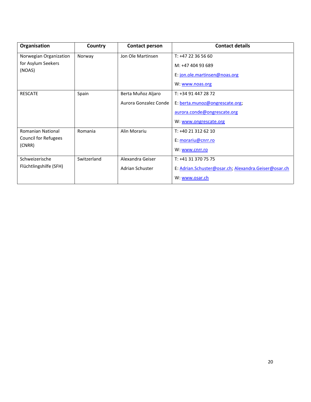| Organisation                | Country     | <b>Contact person</b> | <b>Contact details</b>                               |
|-----------------------------|-------------|-----------------------|------------------------------------------------------|
| Norwegian Organization      | Norway      | Jon Ole Martinsen     | T: +47 22 36 56 60                                   |
| for Asylum Seekers          |             |                       | M: +47 404 93 689                                    |
| (NOAS)                      |             |                       | E: jon.ole.martinsen@noas.org                        |
|                             |             |                       | W: www.noas.org                                      |
| <b>RESCATE</b>              | Spain       | Berta Muñoz Aljaro    | T: +34 91 447 28 72                                  |
|                             |             | Aurora Gonzalez Conde | E: berta.munoz@ongrescate.org;                       |
|                             |             |                       | aurora.conde@ongrescate.org                          |
|                             |             |                       | W: www.ongrescate.org                                |
| <b>Romanian National</b>    | Romania     | Alin Morariu          | T: +40 21 312 62 10                                  |
| <b>Council for Refugees</b> |             |                       | E: morariu@cnrr.ro                                   |
| (CNRR)                      |             |                       | W: www.cnrr.ro                                       |
| Schweizerische              | Switzerland | Alexandra Geiser      | T: +41 31 370 75 75                                  |
| Flüchtlingshilfe (SFH)      |             | Adrian Schuster       | E: Adrian.Schuster@osar.ch; Alexandra.Geiser@osar.ch |
|                             |             |                       | W: www.osar.ch                                       |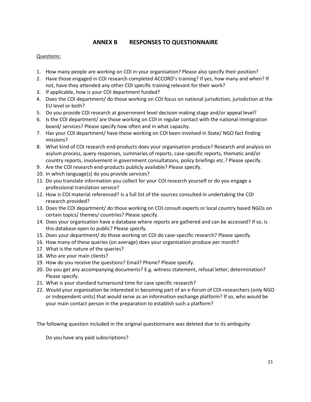#### **ANNEX B RESPONSES TO QUESTIONNAIRE**

#### <span id="page-20-0"></span>Questions:

- 1. How many people are working on COI in your organisation? Please also specify their position?
- 2. Have those engaged in COI research completed ACCORD's training? If yes, how many and when? If not, have they attended any other COI specific training relevant for their work?
- 3. If applicable, how is your COI department funded?
- 4. Does the COI department/ do those working on COI focus on national jurisdiction, jurisdiction at the EU level or both?
- 5. Do you provide COI research at government level decision making stage and/or appeal level?
- 6. Is the COI department/ are those working on COI in regular contact with the national immigration board/ services? Please specify how often and in what capacity.
- 7. Has your COI department/ have those working on COI been involved in State/ NGO fact finding missions?
- 8. What kind of COI research end-products does your organisation produce? Research and analysis on asylum process, query responses, summaries of reports, case-specific reports, thematic and/or country reports, involvement in government consultations, policy briefings etc.? Please specify.
- 9. Are the COI research end-products publicly available? Please specify.
- 10. In which language(s) do you provide services?
- 11. Do you translate information you collect for your COI research yourself or do you engage a professional translation service?
- 12. How is COI material referenced? Is a full list of the sources consulted in undertaking the COI research provided?
- 13. Does the COI department/ do those working on COI consult experts or local country based NGOs on certain topics/ themes/ countries? Please specify.
- 14. Does your organisation have a database where reports are gathered and can be accessed? If so, is this database open to public? Please specify.
- 15. Does your department/ do those working on COI do case-specific research? Please specify.
- 16. How many of these queries (on average) does your organisation produce per month?
- 17. What is the nature of the queries?
- 18. Who are your main clients?
- 19. How do you receive the questions? Email? Phone? Please specify.
- 20. Do you get any accompanying documents? E.g. witness statement, refusal letter, determination? Please specify.
- 21. What is your standard turnaround time for case specific research?
- 22. Would your organisation be interested in becoming part of an e-forum of COI-researchers (only NGO or independent units) that would serve as an information exchange platform? If so, who would be your main contact person in the preparation to establish such a platform?

The following question included in the original questionnaire was deleted due to its ambiguity:

Do you have any paid subscriptions?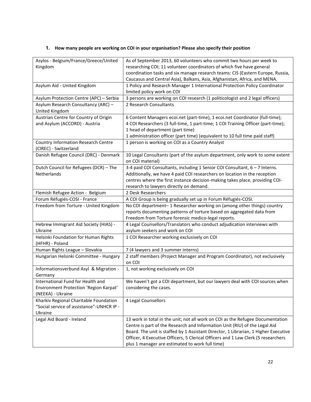#### **1. How many people are working on COI in your organisation? Please also specify their position**

| Asylos - Belgium/France/Greece/United             | As of September 2013, 60 volunteers who commit two hours per week to                |
|---------------------------------------------------|-------------------------------------------------------------------------------------|
| Kingdom                                           | researching COI; 11 volunteer coordinators of which five have general               |
|                                                   | coordination tasks and six manage research teams: CIS (Eastern Europe, Russia,      |
|                                                   | Caucasus and Central Asia), Balkans, Asia, Afghanistan, Africa, and MENA.           |
| Asylum Aid - United Kingdom                       | 1 Policy and Research Manager 1 International Protection Policy Coordinator         |
|                                                   | limited policy work on COI                                                          |
| Asylum Protection Centre (APC) - Serbia           | 3 persons are working on COI research (1 politicologist and 2 legal officers)       |
| Asylum Research Consultancy (ARC) -               | 2 Research Consultants                                                              |
| United Kingdom                                    |                                                                                     |
| Austrian Centre for Country of Origin             | 6 Content Managers ecoi.net (part-time), 1 ecoi.net Coordinator (full-time);        |
| and Asylum (ACCORD) - Austria                     | 4 COI Researchers (3 full-time, 1 part-time; 1 COI Training Officer (part-time);    |
|                                                   | 1 head of department (part time)                                                    |
|                                                   | 1 administration officer (part time) (equivalent to 10 full time paid staff)        |
| <b>Country Information Research Centre</b>        | 1 person is working on COI as a Country Analyst                                     |
| (CIREC) - Switzerland                             |                                                                                     |
| Danish Refugee Council (DRC) - Denmark            | 10 Legal Consultants (part of the asylum department, only work to some extent       |
|                                                   | on COI material)                                                                    |
| Dutch Council for Refugees (DCR) - The            | 3-4 paid COI Consultants, including 1 Senior COI Consultant, 6 - 7 Interns.         |
| Netherlands                                       | Additionally, we have 4 paid COI researchers on location in the reception           |
|                                                   | centres where the first instance decision-making takes place, providing COI-        |
|                                                   | research to lawyers directly on demand.                                             |
| Flemish Refugee Action - Belgium                  | 2 Desk Researchers                                                                  |
| Forum Réfugiés-COSI - France                      | A COI Group is being gradually set up in Forum Réfugiés-COSI.                       |
| Freedom from Torture - United Kingdom             | No COI department-1 Researcher working on (among other things) country              |
|                                                   | reports documenting patterns of torture based on aggregated data from               |
|                                                   | Freedom from Torture forensic medico-legal reports.                                 |
| Hebrew Immigrant Aid Society (HIAS) -             | 4 Legal Counsellors/Translators who conduct adjudication interviews with            |
| Ukraine                                           | asylum seekers and work on COI                                                      |
| Helsinki Foundation for Human Rights              | 1 COI Researcher working exclusively on COI                                         |
| (HFHR) - Poland                                   |                                                                                     |
| Human Rights League - Slovakia                    | 7 (4 lawyers and 3 summer interns)                                                  |
| Hungarian Helsinki Committee - Hungary            | 2 staff members (Project Manager and Program Coordinator), not exclusively          |
|                                                   | on COI                                                                              |
| Informationsverbund Asyl & Migration -<br>Germany | 1, not working exclusively on COI                                                   |
| International Fund for Health and                 | We haven't got a COI department, but our lawyers deal with COI sources when         |
| Environment Protection 'Region Karpat'            | considering the cases.                                                              |
| (NEEKA) - Ukraine                                 |                                                                                     |
| Kharkiv Regional Charitable Foundation            | 4 Legal Counsellors                                                                 |
| "Social service of assistance"-UNHCR IP -         |                                                                                     |
| Ukraine                                           |                                                                                     |
| Legal Aid Board - Ireland                         | 13 work in total in the unit; not all work on COI as the Refugee Documentation      |
|                                                   | Centre is part of the Research and Information Unit (RIU) of the Legal Aid          |
|                                                   | Board. The unit is staffed by 1 Assistant Director, 1 Librarian, 1 Higher Executive |
|                                                   | Officer, 4 Executive Officers, 5 Clerical Officers and 1 Law Clerk (5 researchers   |
|                                                   | plus 1 manager are estimated to work full time)                                     |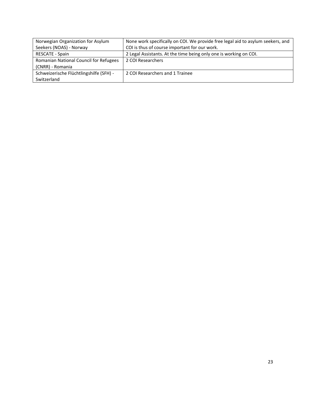| Norwegian Organization for Asylum       | None work specifically on COI. We provide free legal aid to asylum seekers, and |
|-----------------------------------------|---------------------------------------------------------------------------------|
| Seekers (NOAS) - Norway                 | COI is thus of course important for our work.                                   |
| <b>RESCATE - Spain</b>                  | 2 Legal Assistants. At the time being only one is working on COI.               |
| Romanian National Council for Refugees  | 2 COI Researchers                                                               |
| (CNRR) - Romania                        |                                                                                 |
| Schweizerische Flüchtlingshilfe (SFH) - | 2 COI Researchers and 1 Trainee                                                 |
| Switzerland                             |                                                                                 |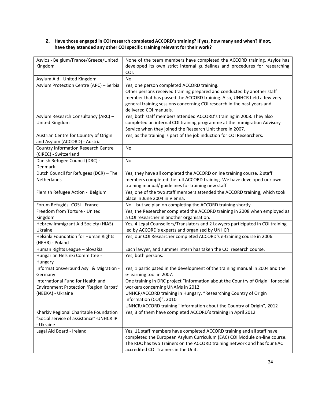#### **2. Have those engaged in COI research completed ACCORD's training? If yes, how many and when? If not, have they attended any other COI specific training relevant for their work?**

| Asylos - Belgium/France/Greece/United                                                            | None of the team members have completed the ACCORD training. Asylos has                                                                                                                                                                                                                               |
|--------------------------------------------------------------------------------------------------|-------------------------------------------------------------------------------------------------------------------------------------------------------------------------------------------------------------------------------------------------------------------------------------------------------|
| Kingdom                                                                                          | developed its own strict internal guidelines and procedures for researching<br>COI.                                                                                                                                                                                                                   |
| Asylum Aid - United Kingdom                                                                      | <b>No</b>                                                                                                                                                                                                                                                                                             |
| Asylum Protection Centre (APC) - Serbia                                                          | Yes, one person completed ACCORD training.<br>Other persons received training prepared and conducted by another staff<br>member that has passed the ACCORD training. Also, UNHCR held a few very<br>general training sessions concerning COI research in the past years and<br>delivered COI manuals. |
| Asylum Research Consultancy (ARC) -<br>United Kingdom                                            | Yes, both staff members attended ACCORD's training in 2008. They also<br>completed an internal COI training programme at the Immigration Advisory<br>Service when they joined the Research Unit there in 2007.                                                                                        |
| Austrian Centre for Country of Origin<br>and Asylum (ACCORD) - Austria                           | Yes, as the training is part of the job induction for COI Researchers.                                                                                                                                                                                                                                |
| <b>Country Information Research Centre</b><br>(CIREC) - Switzerland                              | No                                                                                                                                                                                                                                                                                                    |
| Danish Refugee Council (DRC) -<br>Denmark                                                        | No                                                                                                                                                                                                                                                                                                    |
| Dutch Council for Refugees (DCR) - The<br>Netherlands                                            | Yes, they have all completed the ACCORD online training course. 2 staff<br>members completed the full ACCORD training. We have developed our own<br>training manual/ guidelines for training new staff                                                                                                |
| Flemish Refugee Action - Belgium                                                                 | Yes, one of the two staff members attended the ACCORD training, which took<br>place in June 2004 in Vienna.                                                                                                                                                                                           |
| Forum Réfugiés -COSI - France                                                                    | No - but we plan on completing the ACCORD training shortly                                                                                                                                                                                                                                            |
| Freedom from Torture - United<br>Kingdom                                                         | Yes, the Researcher completed the ACCORD training in 2008 when employed as<br>a COI researcher in another organisation.                                                                                                                                                                               |
| Hebrew Immigrant Aid Society (HIAS) -<br>Ukraine                                                 | Yes, 4 Legal Counsellors/Translators and 2 Lawyers participated in COI training<br>led by ACCORD's experts and organized by UNHCR                                                                                                                                                                     |
| Helsinki Foundation for Human Rights<br>(HFHR) - Poland                                          | Yes, our COI Researcher completed ACCORD's e-training course in 2006.                                                                                                                                                                                                                                 |
| Human Rights League - Slovakia                                                                   | Each lawyer, and summer intern has taken the COI research course.                                                                                                                                                                                                                                     |
| Hungarian Helsinki Committee -<br>Hungary                                                        | Yes, both persons.                                                                                                                                                                                                                                                                                    |
| Informationsverbund Asyl & Migration -<br>Germany                                                | Yes, 1 participated in the development of the training manual in 2004 and the<br>e-learning tool in 2007.                                                                                                                                                                                             |
| International Fund for Health and<br>Environment Protection 'Region Karpat'<br>(NEEKA) - Ukraine | One training in DRC project "Information about the Country of Origin" for social<br>workers concerning UNAMs in 2012<br>UNHCR/ACCORD training in Hungary, "Researching Country of Origin<br>Information (COI)", 2010<br>UNHCR/ACCORD training "Information about the Country of Origin", 2012         |
| Kharkiv Regional Charitable Foundation<br>"Social service of assistance"-UNHCR IP<br>- Ukraine   | Yes, 3 of them have completed ACCORD's training in April 2012                                                                                                                                                                                                                                         |
| Legal Aid Board - Ireland                                                                        | Yes, 11 staff members have completed ACCORD training and all staff have<br>completed the European Asylum Curriculum (EAC) COI Module on-line course.<br>The RDC has two Trainers on the ACCORD training network and has four EAC<br>accredited COI Trainers in the Unit.                              |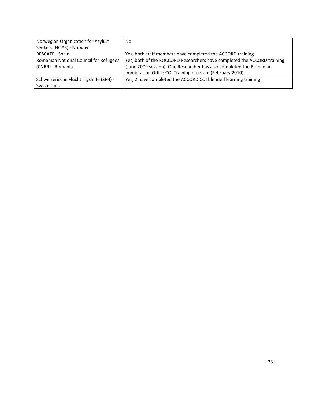| Norwegian Organization for Asylum       | No                                                                      |
|-----------------------------------------|-------------------------------------------------------------------------|
| Seekers (NOAS) - Norway                 |                                                                         |
| RESCATE - Spain                         | Yes, both staff members have completed the ACCORD training.             |
| Romanian National Council for Refugees  | Yes, both of the ROCCORD Researchers have completed the ACCORD training |
| (CNRR) - Romania                        | (June 2009 session). One Researcher has also completed the Romanian     |
|                                         | Immigration Office COI Training program (February 2010).                |
| Schweizerische Flüchtlingshilfe (SFH) - | Yes, 2 have completed the ACCORD COI blended learning training          |
| Switzerland                             |                                                                         |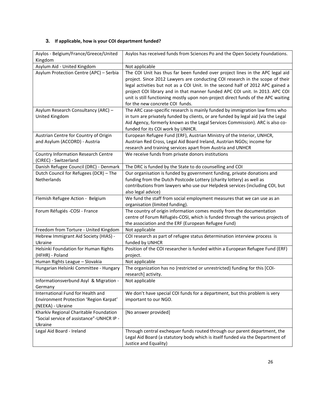#### **3. If applicable, how is your COI department funded?**

| Asylos - Belgium/France/Greece/United<br>Kingdom             | Asylos has received funds from Sciences Po and the Open Society Foundations.       |
|--------------------------------------------------------------|------------------------------------------------------------------------------------|
| Asylum Aid - United Kingdom                                  | Not applicable                                                                     |
| Asylum Protection Centre (APC) - Serbia                      | The COI Unit has thus far been funded over project lines in the APC legal aid      |
|                                                              | project. Since 2012 Lawyers are conducting COI research in the scope of their      |
|                                                              | legal activities but not as a COI Unit. In the second half of 2012 APC gained a    |
|                                                              | project COI library and in that manner funded APC COI unit. In 2013. APC COI       |
|                                                              | unit is still functioning mostly upon non-project direct funds of the APC waiting  |
|                                                              | for the new concrete COI funds.                                                    |
| Asylum Research Consultancy (ARC) -                          | The ARC case-specific research is mainly funded by immigration law firms who       |
| United Kingdom                                               | in turn are privately funded by clients, or are funded by legal aid (via the Legal |
|                                                              | Aid Agency, formerly known as the Legal Services Commission). ARC is also co-      |
|                                                              | funded for its COI work by UNHCR.                                                  |
| Austrian Centre for Country of Origin                        | European Refugee Fund (ERF), Austrian Ministry of the Interior, UNHCR,             |
| and Asylum (ACCORD) - Austria                                | Austrian Red Cross, Legal Aid Board Ireland, Austrian NGOs; income for             |
|                                                              | research and training services apart from Austria and UNHCR                        |
| Country Information Research Centre<br>(CIREC) - Switzerland | We receive funds from private donors institutions                                  |
| Danish Refugee Council (DRC) - Denmark                       | The DRC is funded by the State to do counselling and COI                           |
| Dutch Council for Refugees (DCR) - The                       | Our organisation is funded by government funding, private donations and            |
| Netherlands                                                  | funding from the Dutch Postcode Lottery (charity lottery) as well as               |
|                                                              | contributions from lawyers who use our Helpdesk services (including COI, but       |
|                                                              | also legal advice)                                                                 |
| Flemish Refugee Action - Belgium                             | We fund the staff from social employment measures that we can use as an            |
|                                                              | organisation (limited funding).                                                    |
| Forum Réfugiés -COSI - France                                | The country of origin information comes mostly from the documentation              |
|                                                              | centre of Forum Réfugiés-COSI, which is funded through the various projects of     |
|                                                              | the association and the ERF (European Refugee Fund)                                |
| Freedom from Torture - United Kingdom                        | Not applicable                                                                     |
| Hebrew Immigrant Aid Society (HIAS) -                        | COI research as part of refugee status determination interview process is          |
| Ukraine                                                      | funded by UNHCR                                                                    |
| Helsinki Foundation for Human Rights                         | Position of the COI researcher is funded within a European Refugee Fund (ERF)      |
| (HFHR) - Poland<br>Human Rights League - Slovakia            | project.<br>Not applicable                                                         |
| Hungarian Helsinki Committee - Hungary                       | The organization has no (restricted or unrestricted) funding for this [COI-        |
|                                                              | research] activity.                                                                |
| Informationsverbund Asyl & Migration -                       | Not applicable                                                                     |
| Germany                                                      |                                                                                    |
| International Fund for Health and                            | We don't have special COI funds for a department, but this problem is very         |
| Environment Protection 'Region Karpat'                       | important to our NGO.                                                              |
| (NEEKA) - Ukraine                                            |                                                                                    |
| Kharkiv Regional Charitable Foundation                       | [No answer provided]                                                               |
| "Social service of assistance"-UNHCR IP -                    |                                                                                    |
| Ukraine                                                      |                                                                                    |
| Legal Aid Board - Ireland                                    | Through central exchequer funds routed through our parent department, the          |
|                                                              | Legal Aid Board (a statutory body which is itself funded via the Department of     |
|                                                              | Justice and Equality)                                                              |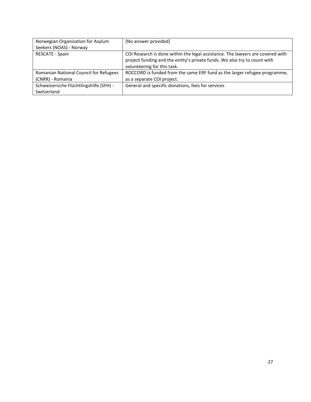| Norwegian Organization for Asylum             | [No answer provided]                                                           |
|-----------------------------------------------|--------------------------------------------------------------------------------|
| Seekers (NOAS) - Norway                       |                                                                                |
| <b>RESCATE - Spain</b>                        | COI Research is done within the legal assistance. The lawyers are covered with |
|                                               | project funding and the entity's private funds. We also try to count with      |
|                                               | volunteering for this task.                                                    |
| <b>Romanian National Council for Refugees</b> | ROCCORD is funded from the same ERF fund as the larger refugee programme,      |
| (CNRR) - Romania                              | as a separate COI project.                                                     |
| Schweizerische Flüchtlingshilfe (SFH) -       | General and specific donations, fees for services                              |
| Switzerland                                   |                                                                                |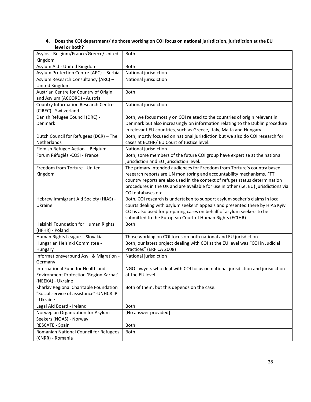#### **4. Does the COI department/ do those working on COI focus on national jurisdiction, jurisdiction at the EU level or both?**

| Asylos - Belgium/France/Greece/United   | Both                                                                                |
|-----------------------------------------|-------------------------------------------------------------------------------------|
| Kingdom                                 |                                                                                     |
| Asylum Aid - United Kingdom             | Both                                                                                |
| Asylum Protection Centre (APC) - Serbia | National jurisdiction                                                               |
| Asylum Research Consultancy (ARC) -     | National jurisdiction                                                               |
| United Kingdom                          |                                                                                     |
| Austrian Centre for Country of Origin   | <b>Both</b>                                                                         |
| and Asylum (ACCORD) - Austria           |                                                                                     |
| Country Information Research Centre     | National jurisdiction                                                               |
| (CIREC) - Switzerland                   |                                                                                     |
| Danish Refugee Council (DRC) -          | Both, we focus mostly on COI related to the countries of origin relevant in         |
| Denmark                                 | Denmark but also increasingly on information relating to the Dublin procedure       |
|                                         | in relevant EU countries, such as Greece, Italy, Malta and Hungary.                 |
| Dutch Council for Refugees (DCR) - The  | Both, mostly focused on national jurisdiction but we also do COI research for       |
| Netherlands                             | cases at ECtHR/ EU Court of Justice level.                                          |
| Flemish Refugee Action - Belgium        | National jurisdiction                                                               |
| Forum Réfugiés -COSI - France           | Both, some members of the future COI group have expertise at the national           |
|                                         | jurisdiction and EU jurisdiction level.                                             |
| Freedom from Torture - United           | The primary intended audiences for Freedom from Torture's country based             |
| Kingdom                                 | research reports are UN monitoring and accountability mechanisms. FFT               |
|                                         | country reports are also used in the context of refuges status determination        |
|                                         | procedures in the UK and are available for use in other (i.e. EU) jurisdictions via |
|                                         | COI databases etc.                                                                  |
| Hebrew Immigrant Aid Society (HIAS) -   | Both, COI research is undertaken to support asylum seeker's claims in local         |
| Ukraine                                 | courts dealing with asylum seekers' appeals and presented there by HIAS Kyiv.       |
|                                         | COI is also used for preparing cases on behalf of asylum seekers to be              |
|                                         | submitted to the European Court of Human Rights (ECtHR)                             |
| Helsinki Foundation for Human Rights    | <b>Both</b>                                                                         |
| (HFHR) - Poland                         |                                                                                     |
| Human Rights League - Slovakia          | Those working on COI focus on both national and EU jurisdiction.                    |
| Hungarian Helsinki Committee -          | Both, our latest project dealing with COI at the EU level was "COI in Judicial      |
| Hungary                                 | Practices" (ERF CA 2008)                                                            |
| Informationsverbund Asyl & Migration -  | National jurisdiction                                                               |
| Germany                                 |                                                                                     |
| International Fund for Health and       | NGO lawyers who deal with COI focus on national jurisdiction and jurisdiction       |
| Environment Protection 'Region Karpat'  | at the EU level.                                                                    |
| (NEEKA) - Ukraine                       |                                                                                     |
| Kharkiv Regional Charitable Foundation  | Both of them, but this depends on the case.                                         |
| "Social service of assistance"-UNHCR IP |                                                                                     |
| - Ukraine                               |                                                                                     |
| Legal Aid Board - Ireland               | Both                                                                                |
| Norwegian Organization for Asylum       | [No answer provided]                                                                |
| Seekers (NOAS) - Norway                 |                                                                                     |
| RESCATE - Spain                         | Both                                                                                |
| Romanian National Council for Refugees  | <b>Both</b>                                                                         |
| (CNRR) - Romania                        |                                                                                     |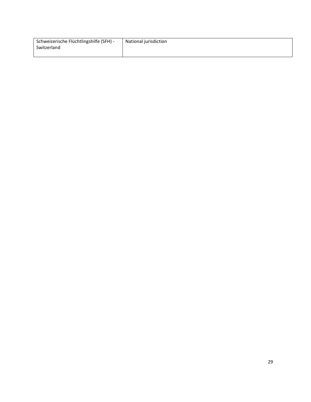| Schweizerische Flüchtlingshilfe (SFH) - | National jurisdiction |
|-----------------------------------------|-----------------------|
| Switzerland                             |                       |
|                                         |                       |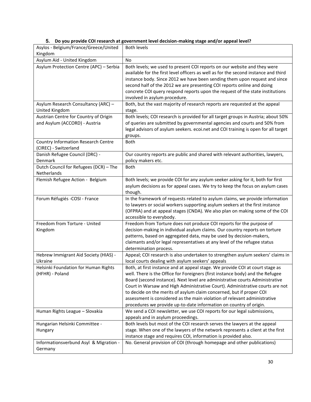#### **5. Do you provide COI research at government level decision-making stage and/or appeal level?**

| Asylos - Belgium/France/Greece/United<br>Kingdom                       | <b>Both levels</b>                                                                                                                                                                                                                                                                                                                                                                                                                                                                                                                                          |
|------------------------------------------------------------------------|-------------------------------------------------------------------------------------------------------------------------------------------------------------------------------------------------------------------------------------------------------------------------------------------------------------------------------------------------------------------------------------------------------------------------------------------------------------------------------------------------------------------------------------------------------------|
| Asylum Aid - United Kingdom                                            | <b>No</b>                                                                                                                                                                                                                                                                                                                                                                                                                                                                                                                                                   |
| Asylum Protection Centre (APC) - Serbia                                | Both levels; we used to present COI reports on our website and they were<br>available for the first level officers as well as for the second instance and third<br>instance body. Since 2012 we have been sending them upon request and since<br>second half of the 2012 we are presenting COI reports online and doing<br>concrete COI query respond reports upon the request of the state institutions<br>involved in asylum procedure.                                                                                                                   |
| Asylum Research Consultancy (ARC) -                                    | Both, but the vast majority of research reports are requested at the appeal                                                                                                                                                                                                                                                                                                                                                                                                                                                                                 |
| United Kingdom                                                         | stage.                                                                                                                                                                                                                                                                                                                                                                                                                                                                                                                                                      |
| Austrian Centre for Country of Origin<br>and Asylum (ACCORD) - Austria | Both levels; COI research is provided for all target groups in Austria; about 50%<br>of queries are submitted by governmental agencies and courts and 50% from<br>legal advisors of asylum seekers. ecoi.net and COI training is open for all target<br>groups.                                                                                                                                                                                                                                                                                             |
| <b>Country Information Research Centre</b><br>(CIREC) - Switzerland    | <b>Both</b>                                                                                                                                                                                                                                                                                                                                                                                                                                                                                                                                                 |
| Danish Refugee Council (DRC) -<br>Denmark                              | Our country reports are public and shared with relevant authorities, lawyers,<br>policy makers etc.                                                                                                                                                                                                                                                                                                                                                                                                                                                         |
| Dutch Council for Refugees (DCR) - The<br>Netherlands                  | Both                                                                                                                                                                                                                                                                                                                                                                                                                                                                                                                                                        |
| Flemish Refugee Action - Belgium                                       | Both levels; we provide COI for any asylum seeker asking for it, both for first<br>asylum decisions as for appeal cases. We try to keep the focus on asylum cases<br>though.                                                                                                                                                                                                                                                                                                                                                                                |
| Forum Réfugiés -COSI - France                                          | In the framework of requests related to asylum claims, we provide information<br>to lawyers or social workers supporting asylum seekers at the first instance<br>(OFPRA) and at appeal stages (CNDA). We also plan on making some of the COI<br>accessible to everybody.                                                                                                                                                                                                                                                                                    |
| Freedom from Torture - United<br>Kingdom                               | Freedom from Torture does not produce COI reports for the purpose of<br>decision-making in individual asylum claims. Our country reports on torture<br>patterns, based on aggregated data, may be used by decision-makers,<br>claimants and/or legal representatives at any level of the refugee status<br>determination process.                                                                                                                                                                                                                           |
| Hebrew Immigrant Aid Society (HIAS) -<br>Ukraine                       | Appeal; COI research is also undertaken to strengthen asylum seekers' claims in<br>local courts dealing with asylum seekers' appeals                                                                                                                                                                                                                                                                                                                                                                                                                        |
| Helsinki Foundation for Human Rights<br>(HFHR) - Poland                | Both, at first instance and at appeal stage. We provide COI at court stage as<br>well. There is the Office for Foreigners (first instance body) and the Refugee<br>Board (second instance). Next level are administrative courts Administrative<br>Court in Warsaw and High Administrative Court). Administrative courts are not<br>to decide on the merits of asylum claim concerned, but if proper COI<br>assessment is considered as the main violation of relevant administrative<br>procedures we provide up-to-date information on country of origin. |
| Human Rights League - Slovakia                                         | We send a COI newsletter, we use COI reports for our legal submissions,<br>appeals and in asylum proceedings.                                                                                                                                                                                                                                                                                                                                                                                                                                               |
| Hungarian Helsinki Committee -                                         | Both levels but most of the COI research serves the lawyers at the appeal                                                                                                                                                                                                                                                                                                                                                                                                                                                                                   |
| Hungary                                                                | stage. When one of the lawyers of the network represents a client at the first<br>instance stage and requires COI, information is provided also.                                                                                                                                                                                                                                                                                                                                                                                                            |
| Informationsverbund Asyl & Migration -<br>Germany                      | No. General provision of COI (through homepage and other publications)                                                                                                                                                                                                                                                                                                                                                                                                                                                                                      |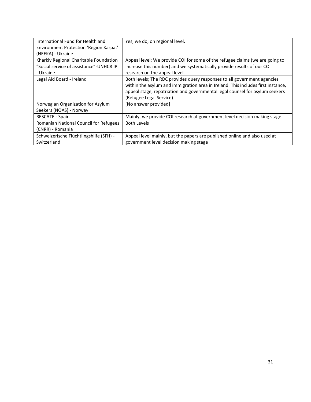| International Fund for Health and       | Yes, we do, on regional level.                                                   |
|-----------------------------------------|----------------------------------------------------------------------------------|
| Environment Protection 'Region Karpat'  |                                                                                  |
| (NEEKA) - Ukraine                       |                                                                                  |
| Kharkiv Regional Charitable Foundation  | Appeal level; We provide COI for some of the refugee claims (we are going to     |
| "Social service of assistance"-UNHCR IP | increase this number) and we systematically provide results of our COI           |
| - Ukraine                               | research on the appeal level.                                                    |
| Legal Aid Board - Ireland               | Both levels; The RDC provides query responses to all government agencies         |
|                                         | within the asylum and immigration area in Ireland. This includes first instance, |
|                                         | appeal stage, repatriation and governmental legal counsel for asylum seekers     |
|                                         | (Refugee Legal Service)                                                          |
| Norwegian Organization for Asylum       | [No answer provided]                                                             |
| Seekers (NOAS) - Norway                 |                                                                                  |
| <b>RESCATE - Spain</b>                  | Mainly, we provide COI research at government level decision making stage        |
| Romanian National Council for Refugees  | <b>Both Levels</b>                                                               |
| (CNRR) - Romania                        |                                                                                  |
| Schweizerische Flüchtlingshilfe (SFH) - | Appeal level mainly, but the papers are published online and also used at        |
| Switzerland                             | government level decision making stage                                           |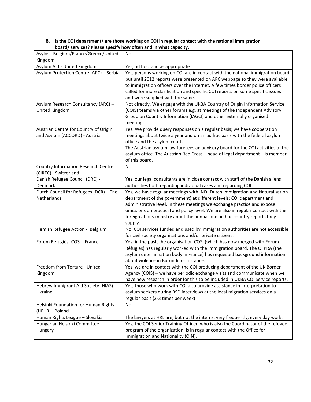#### **6. Is the COI department/ are those working on COI in regular contact with the national immigration board/ services? Please specify how often and in what capacity.**

| Asylos - Belgium/France/Greece/United<br>Kingdom                       | No                                                                                                                                                                                                                                                                                                                                                                          |
|------------------------------------------------------------------------|-----------------------------------------------------------------------------------------------------------------------------------------------------------------------------------------------------------------------------------------------------------------------------------------------------------------------------------------------------------------------------|
| Asylum Aid - United Kingdom                                            | Yes, ad hoc, and as appropriate                                                                                                                                                                                                                                                                                                                                             |
| Asylum Protection Centre (APC) - Serbia                                | Yes, persons working on COI are in contact with the national immigration board<br>but until 2012 reports were presented on APC webpage so they were available<br>to immigration officers over the internet. A few times border police officers<br>called for more clarification and specific COI reports on some specific issues<br>and were supplied with the same.        |
| Asylum Research Consultancy (ARC) -<br>United Kingdom                  | Not directly. We engage with the UKBA Country of Origin Information Service<br>(COIS) teams via other forums e.g. at meetings of the Independent Advisory<br>Group on Country Information (IAGCI) and other externally organised<br>meetings.                                                                                                                               |
| Austrian Centre for Country of Origin<br>and Asylum (ACCORD) - Austria | Yes. We provide query responses on a regular basis; we have cooperation<br>meetings about twice a year and on an ad hoc basis with the federal asylum<br>office and the asylum court.<br>The Austrian asylum law foresees an advisory board for the COI activities of the<br>asylum office. The Austrian Red Cross - head of legal department - is member<br>of this board. |
| <b>Country Information Research Centre</b><br>(CIREC) - Switzerland    | No                                                                                                                                                                                                                                                                                                                                                                          |
| Danish Refugee Council (DRC) -                                         | Yes, our legal consultants are in close contact with staff of the Danish aliens                                                                                                                                                                                                                                                                                             |
| Denmark                                                                | authorities both regarding individual cases and regarding COI.                                                                                                                                                                                                                                                                                                              |
| Dutch Council for Refugees (DCR) - The                                 | Yes, we have regular meetings with IND (Dutch Immigration and Naturalisation                                                                                                                                                                                                                                                                                                |
| Netherlands                                                            | department of the government) at different levels; COI department and<br>administrative level. In these meetings we exchange practice and expose<br>omissions on practical and policy level. We are also in regular contact with the<br>foreign affairs ministry about the annual and ad hoc country reports they<br>supply.                                                |
| Flemish Refugee Action - Belgium                                       | No. COI services funded and used by immigration authorities are not accessible<br>for civil society organisations and/or private citizens.                                                                                                                                                                                                                                  |
| Forum Réfugiés -COSI - France                                          | Yes; in the past, the organisation COSI (which has now merged with Forum<br>Réfugiés) has regularly worked with the immigration board. The OFPRA (the<br>asylum determination body in France) has requested background information<br>about violence in Burundi for instance.                                                                                               |
| Freedom from Torture - United<br>Kingdom                               | Yes, we are in contact with the COI producing department of the UK Border<br>Agency (COIS) - we have periodic exchange visits and communicate when we<br>have new research in order for this to be included in UKBA COI Service reports.                                                                                                                                    |
| Hebrew Immigrant Aid Society (HIAS) -<br>Ukraine                       | Yes, those who work with COI also provide assistance in interpretation to<br>asylum seekers during RSD interviews at the local migration services on a<br>regular basis (2-3 times per week)                                                                                                                                                                                |
| Helsinki Foundation for Human Rights<br>(HFHR) - Poland                | No                                                                                                                                                                                                                                                                                                                                                                          |
| Human Rights League - Slovakia                                         | The lawyers at HRL are, but not the interns, very frequently, every day work.                                                                                                                                                                                                                                                                                               |
| Hungarian Helsinki Committee -<br>Hungary                              | Yes, the COI Senior Training Officer, who is also the Coordinator of the refugee<br>program of the organization, is in regular contact with the Office for<br>Immigration and Nationality (OIN).                                                                                                                                                                            |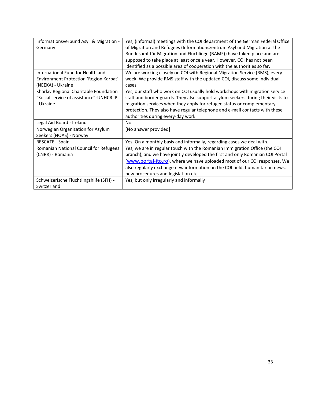| Informationsverbund Asyl & Migration -  | Yes, (informal) meetings with the COI department of the German Federal Office    |
|-----------------------------------------|----------------------------------------------------------------------------------|
| Germany                                 | of Migration and Refugees (Informationszentrum Asyl und Migration at the         |
|                                         | Bundesamt für Migration und Flüchlinge (BAMF)) have taken place and are          |
|                                         | supposed to take place at least once a year. However, COI has not been           |
|                                         | identified as a possible area of cooperation with the authorities so far.        |
| International Fund for Health and       | We are working closely on COI with Regional Migration Service (RMS), every       |
| Environment Protection 'Region Karpat'  | week. We provide RMS staff with the updated COI, discuss some individual         |
| (NEEKA) - Ukraine                       | cases.                                                                           |
| Kharkiv Regional Charitable Foundation  | Yes, our staff who work on COI usually hold workshops with migration service     |
| "Social service of assistance"-UNHCR IP | staff and border guards. They also support asylum seekers during their visits to |
| - Ukraine                               | migration services when they apply for refugee status or complementary           |
|                                         | protection. They also have regular telephone and e-mail contacts with these      |
|                                         | authorities during every-day work.                                               |
| Legal Aid Board - Ireland               | No.                                                                              |
| Norwegian Organization for Asylum       | [No answer provided]                                                             |
| Seekers (NOAS) - Norway                 |                                                                                  |
| <b>RESCATE - Spain</b>                  | Yes. On a monthly basis and informally, regarding cases we deal with.            |
| Romanian National Council for Refugees  | Yes, we are in regular touch with the Romanian Immigration Office (the COI       |
| (CNRR) - Romania                        | branch), and we have jointly developed the first and only Romanian COI Portal    |
|                                         | (www.portal-ito.ro), where we have uploaded most of our COI responses. We        |
|                                         | also regularly exchange new information on the COI field, humanitarian news,     |
|                                         | new procedures and legislation etc.                                              |
| Schweizerische Flüchtlingshilfe (SFH) - | Yes, but only irregularly and informally                                         |
| Switzerland                             |                                                                                  |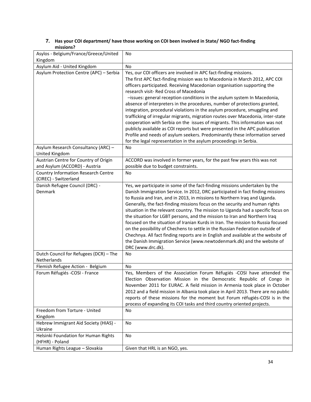#### **7. Has your COI department/ have those working on COI been involved in State/ NGO fact-finding missions?**

| Asylos - Belgium/France/Greece/United                             | No                                                                                                                                                                                                                                                                                                                                                                                                                                                                                                                                                                                                                                                                                                                                                                                                                                                                                                             |
|-------------------------------------------------------------------|----------------------------------------------------------------------------------------------------------------------------------------------------------------------------------------------------------------------------------------------------------------------------------------------------------------------------------------------------------------------------------------------------------------------------------------------------------------------------------------------------------------------------------------------------------------------------------------------------------------------------------------------------------------------------------------------------------------------------------------------------------------------------------------------------------------------------------------------------------------------------------------------------------------|
| Kingdom                                                           |                                                                                                                                                                                                                                                                                                                                                                                                                                                                                                                                                                                                                                                                                                                                                                                                                                                                                                                |
| Asylum Aid - United Kingdom                                       | <b>No</b>                                                                                                                                                                                                                                                                                                                                                                                                                                                                                                                                                                                                                                                                                                                                                                                                                                                                                                      |
| Asylum Protection Centre (APC) - Serbia                           | Yes, our COI officers are involved in APC fact-finding missions.<br>The first APC fact-finding mission was to Macedonia in March 2012, APC COI<br>officers participated. Receiving Macedonian organisation supporting the<br>research visit- Red Cross of Macedonia<br>-issues: general reception conditions in the asylum system In Macedonia,<br>absence of interpreters in the procedures, number of protections granted,<br>integration, procedural violations in the asylum procedure, smuggling and<br>trafficking of irregular migrants, migration routes over Macedonia, inter-state<br>cooperation with Serbia on the issues of migrants. This information was not<br>publicly available as COI reports but were presented in the APC publication<br>Profile and needs of asylum seekers. Predominantly these information served<br>for the legal representation in the asylum proceedings in Serbia. |
| Asylum Research Consultancy (ARC) -<br>United Kingdom             | <b>No</b>                                                                                                                                                                                                                                                                                                                                                                                                                                                                                                                                                                                                                                                                                                                                                                                                                                                                                                      |
| Austrian Centre for Country of Origin                             | ACCORD was involved in former years, for the past few years this was not                                                                                                                                                                                                                                                                                                                                                                                                                                                                                                                                                                                                                                                                                                                                                                                                                                       |
| and Asylum (ACCORD) - Austria                                     | possible due to budget constraints.                                                                                                                                                                                                                                                                                                                                                                                                                                                                                                                                                                                                                                                                                                                                                                                                                                                                            |
| <b>Country Information Research Centre</b>                        | <b>No</b>                                                                                                                                                                                                                                                                                                                                                                                                                                                                                                                                                                                                                                                                                                                                                                                                                                                                                                      |
| (CIREC) - Switzerland                                             |                                                                                                                                                                                                                                                                                                                                                                                                                                                                                                                                                                                                                                                                                                                                                                                                                                                                                                                |
| Danish Refugee Council (DRC) -<br>Denmark                         | Yes, we participate in some of the fact-finding missions undertaken by the<br>Danish Immigration Service. In 2012, DRC participated in fact finding missions<br>to Russia and Iran, and in 2013, in missions to Northern Iraq and Uganda.<br>Generally, the fact-finding missions focus on the security and human rights<br>situation in the relevant country. The mission to Uganda had a specific focus on<br>the situation for LGBT persons, and the mission to Iran and Northern Iraq<br>focused on the situation of Iranian Kurds in Iran. The mission to Russia focused<br>on the possibility of Chechens to settle in the Russian Federation outside of<br>Chechnya. All fact finding reports are in English and available at the website of<br>the Danish Immigration Service (www.newtodenmark.dk) and the website of<br>DRC (www.drc.dk).                                                            |
| Dutch Council for Refugees (DCR) - The                            | No                                                                                                                                                                                                                                                                                                                                                                                                                                                                                                                                                                                                                                                                                                                                                                                                                                                                                                             |
| Netherlands                                                       |                                                                                                                                                                                                                                                                                                                                                                                                                                                                                                                                                                                                                                                                                                                                                                                                                                                                                                                |
| Flemish Refugee Action - Belgium<br>Forum Réfugiés -COSI - France | No<br>Yes, Members of the Association Forum Réfugiés -COSI have attended the<br>Election Observation Mission in the Democratic Republic of Congo in<br>November 2011 for EURAC. A field mission in Armenia took place in October<br>2012 and a field mission in Albania took place in April 2013. There are no public<br>reports of these missions for the moment but Forum réfugiés-COSI is in the<br>process of expanding its COI tasks and third country oriented projects.                                                                                                                                                                                                                                                                                                                                                                                                                                 |
| Freedom from Torture - United                                     | No                                                                                                                                                                                                                                                                                                                                                                                                                                                                                                                                                                                                                                                                                                                                                                                                                                                                                                             |
| Kingdom                                                           |                                                                                                                                                                                                                                                                                                                                                                                                                                                                                                                                                                                                                                                                                                                                                                                                                                                                                                                |
| Hebrew Immigrant Aid Society (HIAS) -                             | No                                                                                                                                                                                                                                                                                                                                                                                                                                                                                                                                                                                                                                                                                                                                                                                                                                                                                                             |
| Ukraine<br>Helsinki Foundation for Human Rights                   | No                                                                                                                                                                                                                                                                                                                                                                                                                                                                                                                                                                                                                                                                                                                                                                                                                                                                                                             |
| (HFHR) - Poland                                                   |                                                                                                                                                                                                                                                                                                                                                                                                                                                                                                                                                                                                                                                                                                                                                                                                                                                                                                                |
| Human Rights League - Slovakia                                    | Given that HRL is an NGO, yes.                                                                                                                                                                                                                                                                                                                                                                                                                                                                                                                                                                                                                                                                                                                                                                                                                                                                                 |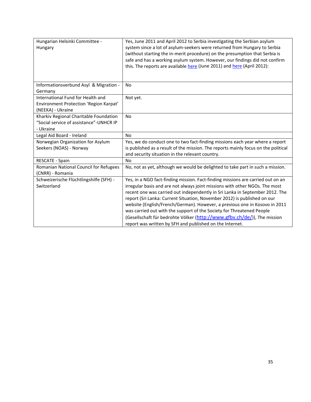| Hungarian Helsinki Committee -<br>Hungary                                                        | Yes, June 2011 and April 2012 to Serbia investigating the Serbian asylum<br>system since a lot of asylum-seekers were returned from Hungary to Serbia<br>(without starting the in-merit procedure) on the presumption that Serbia is<br>safe and has a working asylum system. However, our findings did not confirm<br>this. The reports are available here (June 2011) and here (April 2012): |
|--------------------------------------------------------------------------------------------------|------------------------------------------------------------------------------------------------------------------------------------------------------------------------------------------------------------------------------------------------------------------------------------------------------------------------------------------------------------------------------------------------|
| Informationsverbund Asyl & Migration -<br>Germany                                                | <b>No</b>                                                                                                                                                                                                                                                                                                                                                                                      |
| International Fund for Health and<br>Environment Protection 'Region Karpat'<br>(NEEKA) - Ukraine | Not yet.                                                                                                                                                                                                                                                                                                                                                                                       |
| Kharkiv Regional Charitable Foundation<br>"Social service of assistance"-UNHCR IP<br>- Ukraine   | <b>No</b>                                                                                                                                                                                                                                                                                                                                                                                      |
| Legal Aid Board - Ireland                                                                        | <b>No</b>                                                                                                                                                                                                                                                                                                                                                                                      |
| Norwegian Organization for Asylum<br>Seekers (NOAS) - Norway                                     | Yes, we do conduct one to two fact-finding missions each year where a report<br>is published as a result of the mission. The reports mainly focus on the political<br>and security situation in the relevant country.                                                                                                                                                                          |
| RESCATE - Spain                                                                                  | <b>No</b>                                                                                                                                                                                                                                                                                                                                                                                      |
| Romanian National Council for Refugees<br>(CNRR) - Romania                                       | No, not as yet, although we would be delighted to take part in such a mission.                                                                                                                                                                                                                                                                                                                 |
| Schweizerische Flüchtlingshilfe (SFH) -                                                          | Yes, in a NGO fact-finding mission. Fact-finding missions are carried out on an                                                                                                                                                                                                                                                                                                                |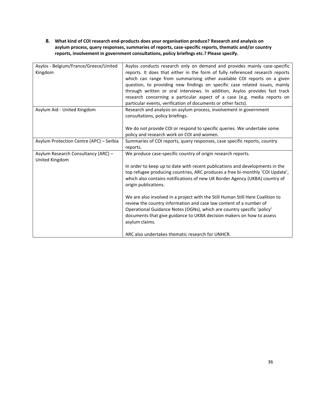#### **8. What kind of COI research end-products does your organisation produce? Research and analysis on asylum process, query responses, summaries of reports, case-specific reports, thematic and/or country reports, involvement in government consultations, policy briefings etc.? Please specify.**

| Asylos - Belgium/France/Greece/United   | Asylos conducts research only on demand and provides mainly case-specific      |
|-----------------------------------------|--------------------------------------------------------------------------------|
| Kingdom                                 | reports. It does that either in the form of fully referenced research reports  |
|                                         | which can range from summarising other available COI reports on a given        |
|                                         | question, to providing new findings on specific case related issues, mainly    |
|                                         | through written or oral interviews. In addition, Asylos provides fast track    |
|                                         | research concerning a particular aspect of a case (e.g. media reports on       |
|                                         | particular events, verification of documents or other facts).                  |
| Asylum Aid - United Kingdom             | Research and analysis on asylum process, involvement in government             |
|                                         | consultations, policy briefings.                                               |
|                                         |                                                                                |
|                                         | We do not provide COI or respond to specific queries. We undertake some        |
|                                         | policy and research work on COI and women.                                     |
| Asylum Protection Centre (APC) - Serbia | Summaries of COI reports, query responses, case specific reports, country      |
|                                         | reports.                                                                       |
| Asylum Research Consultancy (ARC) -     | We produce case-specific country of origin research reports.                   |
| United Kingdom                          |                                                                                |
|                                         | In order to keep up to date with recent publications and developments in the   |
|                                         | top refugee producing countries, ARC produces a free bi-monthly 'COI Update',  |
|                                         | which also contains notifications of new UK Border Agency (UKBA) country of    |
|                                         | origin publications.                                                           |
|                                         |                                                                                |
|                                         | We are also involved in a project with the Still Human Still Here Coalition to |
|                                         | review the country information and case law content of a number of             |
|                                         | Operational Guidance Notes (OGNs), which are country specific 'policy'         |
|                                         | documents that give guidance to UKBA decision makers on how to assess          |
|                                         | asylum claims.                                                                 |
|                                         |                                                                                |
|                                         | ARC also undertakes thematic research for UNHCR.                               |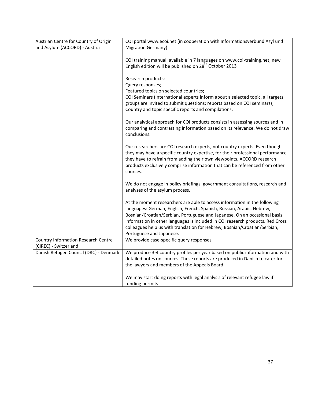| Austrian Centre for Country of Origin      | COI portal www.ecoi.net (in cooperation with Informationsverbund Asyl und      |
|--------------------------------------------|--------------------------------------------------------------------------------|
| and Asylum (ACCORD) - Austria              | <b>Migration Germany)</b>                                                      |
|                                            |                                                                                |
|                                            | COI training manual: available in 7 languages on www.coi-training.net; new     |
|                                            | English edition will be published on 28 <sup>th</sup> October 2013             |
|                                            |                                                                                |
|                                            | Research products:                                                             |
|                                            | Query responses;                                                               |
|                                            | Featured topics on selected countries;                                         |
|                                            | COI Seminars (international experts inform about a selected topic, all targets |
|                                            | groups are invited to submit questions; reports based on COI seminars);        |
|                                            | Country and topic specific reports and compilations.                           |
|                                            |                                                                                |
|                                            | Our analytical approach for COI products consists in assessing sources and in  |
|                                            | comparing and contrasting information based on its relevance. We do not draw   |
|                                            | conclusions.                                                                   |
|                                            |                                                                                |
|                                            | Our researchers are COI research experts, not country experts. Even though     |
|                                            | they may have a specific country expertise, for their professional performance |
|                                            | they have to refrain from adding their own viewpoints. ACCORD research         |
|                                            | products exclusively comprise information that can be referenced from other    |
|                                            | sources.                                                                       |
|                                            |                                                                                |
|                                            | We do not engage in policy briefings, government consultations, research and   |
|                                            | analyses of the asylum process.                                                |
|                                            |                                                                                |
|                                            | At the moment researchers are able to access information in the following      |
|                                            | languages: German, English, French, Spanish, Russian, Arabic, Hebrew,          |
|                                            | Bosnian/Croatian/Serbian, Portuguese and Japanese. On an occasional basis      |
|                                            | information in other languages is included in COI research products. Red Cross |
|                                            | colleagues help us with translation for Hebrew, Bosnian/Croatian/Serbian,      |
|                                            | Portuguese and Japanese.                                                       |
| <b>Country Information Research Centre</b> | We provide case-specific query responses                                       |
| (CIREC) - Switzerland                      |                                                                                |
| Danish Refugee Council (DRC) - Denmark     | We produce 3-4 country profiles per year based on public information and with  |
|                                            | detailed notes on sources. These reports are produced in Danish to cater for   |
|                                            | the lawyers and members of the Appeals Board.                                  |
|                                            |                                                                                |
|                                            | We may start doing reports with legal analysis of relevant refugee law if      |
|                                            | funding permits                                                                |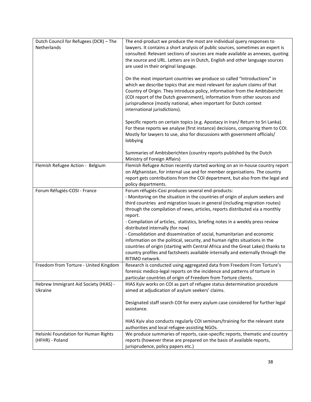| Dutch Council for Refugees (DCR) - The | The end-product we produce the most are individual query responses to                                                                                       |
|----------------------------------------|-------------------------------------------------------------------------------------------------------------------------------------------------------------|
| Netherlands                            | lawyers. It contains a short analysis of public sources, sometimes an expert is                                                                             |
|                                        |                                                                                                                                                             |
|                                        | consulted. Relevant sections of sources are made available as annexes, quoting                                                                              |
|                                        | the source and URL. Letters are in Dutch, English and other language sources                                                                                |
|                                        | are used in their original language.                                                                                                                        |
|                                        | On the most important countries we produce so called "Introductions" in                                                                                     |
|                                        | which we describe topics that are most relevant for asylum claims of that                                                                                   |
|                                        | Country of Origin. They introduce policy, information from the Ambtsbericht                                                                                 |
|                                        | (COI report of the Dutch government), information from other sources and                                                                                    |
|                                        | jurisprudence (mostly national, when important for Dutch context                                                                                            |
|                                        | international jurisdictions).                                                                                                                               |
|                                        | Specific reports on certain topics (e.g. Apostacy in Iran/ Return to Sri Lanka).                                                                            |
|                                        | For these reports we analyse (first instance) decisions, comparing them to COI.                                                                             |
|                                        | Mostly for lawyers to use, also for discussions with government officials/                                                                                  |
|                                        | lobbying                                                                                                                                                    |
|                                        |                                                                                                                                                             |
|                                        | Summaries of Ambtsberichten (country reports published by the Dutch                                                                                         |
|                                        | Ministry of Foreign Affairs)                                                                                                                                |
| Flemish Refugee Action - Belgium       | Flemish Refugee Action recently started working on an in-house country report<br>on Afghanistan, for internal use and for member organisations. The country |
|                                        |                                                                                                                                                             |
|                                        | report gets contributions from the COI department, but also from the legal and                                                                              |
|                                        | policy departments.                                                                                                                                         |
| Forum Réfugiés-COSI - France           | Forum réfugiés-Cosi produces several end-products:                                                                                                          |
|                                        | - Monitoring on the situation in the countries of origin of asylum seekers and                                                                              |
|                                        | third countries and migration issues in general (including migration routes)                                                                                |
|                                        | through the compilation of news, articles, reports distributed via a monthly<br>report.                                                                     |
|                                        | - Compilation of articles, statistics, briefing notes in a weekly press review                                                                              |
|                                        | distributed internally (for now)                                                                                                                            |
|                                        | - Consolidation and dissemination of social, humanitarian and economic                                                                                      |
|                                        | information on the political, security, and human rights situations in the                                                                                  |
|                                        | countries of origin (starting with Central Africa and the Great Lakes) thanks to                                                                            |
|                                        | country profiles and factsheets available internally and externally through the                                                                             |
|                                        | RITIMO network.                                                                                                                                             |
| Freedom from Torture - United Kingdom  | Research is conducted using aggregated data from Freedom From Torture's                                                                                     |
|                                        | forensic medico-legal reports on the incidence and patterns of torture in                                                                                   |
|                                        | particular countries of origin of Freedom from Torture clients.                                                                                             |
| Hebrew Immigrant Aid Society (HIAS) -  | HIAS Kyiv works on COI as part of refugee status determination procedure                                                                                    |
| Ukraine                                | aimed at adjudication of asylum seekers' claims.                                                                                                            |
|                                        | Designated staff search COI for every asylum case considered for further legal                                                                              |
|                                        | assistance.                                                                                                                                                 |
|                                        |                                                                                                                                                             |
|                                        | HIAS Kyiv also conducts regularly COI seminars/training for the relevant state                                                                              |
|                                        | authorities and local refugee-assisting NGOs.                                                                                                               |
| Helsinki Foundation for Human Rights   | We produce summaries of reports, case-specific reports, thematic and country                                                                                |
| (HFHR) - Poland                        | reports (however these are prepared on the basis of available reports,                                                                                      |
|                                        | jurisprudence, policy papers etc.)                                                                                                                          |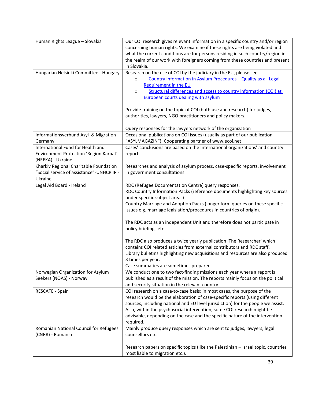| Human Rights League - Slovakia                                                                   | Our COI research gives relevant information in a specific country and/or region<br>concerning human rights. We examine if these rights are being violated and<br>what the current conditions are for persons residing in such country/region in                                                                                                                                                                                 |
|--------------------------------------------------------------------------------------------------|---------------------------------------------------------------------------------------------------------------------------------------------------------------------------------------------------------------------------------------------------------------------------------------------------------------------------------------------------------------------------------------------------------------------------------|
|                                                                                                  | the realm of our work with foreigners coming from these countries and present<br>in Slovakia.                                                                                                                                                                                                                                                                                                                                   |
| Hungarian Helsinki Committee - Hungary                                                           | Research on the use of COI by the judiciary in the EU, please see<br>Country Information in Asylum Procedures - Quality as a Legal<br>$\circ$<br>Requirement in the EU<br>Structural differences and access to country information (COI) at<br>$\circ$<br><b>European courts dealing with asylum</b>                                                                                                                            |
|                                                                                                  | Provide training on the topic of COI (both use and research) for judges,<br>authorities, lawyers, NGO practitioners and policy makers.                                                                                                                                                                                                                                                                                          |
| Informationsverbund Asyl & Migration -                                                           | Query responses for the lawyers network of the organization<br>Occasional publications on COI issues (usually as part of our publication                                                                                                                                                                                                                                                                                        |
| Germany                                                                                          | "ASYLMAGAZIN"). Cooperating partner of www.ecoi.net                                                                                                                                                                                                                                                                                                                                                                             |
| International Fund for Health and<br>Environment Protection 'Region Karpat'<br>(NEEKA) - Ukraine | Cases' conclusions are based on the International organizations' and country<br>reports.                                                                                                                                                                                                                                                                                                                                        |
| Kharkiv Regional Charitable Foundation<br>"Social service of assistance"-UNHCR IP -<br>Ukraine   | Researches and analysis of asylum process, case-specific reports, involvement<br>in government consultations.                                                                                                                                                                                                                                                                                                                   |
| Legal Aid Board - Ireland                                                                        | RDC (Refugee Documentation Centre) query responses.<br>RDC Country Information Packs (reference documents highlighting key sources<br>under specific subject areas)<br>Country Marriage and Adoption Packs (longer form queries on these specific<br>issues e.g. marriage legislation/procedures in countries of origin).<br>The RDC acts as an independent Unit and therefore does not participate in<br>policy briefings etc. |
|                                                                                                  | The RDC also produces a twice yearly publication 'The Researcher' which<br>contains COI related articles from external contributors and RDC staff.<br>Library bulletins highlighting new acquisitions and resources are also produced<br>3 times per year.<br>Case summaries are sometimes prepared.                                                                                                                            |
| Norwegian Organization for Asylum<br>Seekers (NOAS) - Norway                                     | We conduct one to two fact-finding missions each year where a report is<br>published as a result of the mission. The reports mainly focus on the political<br>and security situation in the relevant country.                                                                                                                                                                                                                   |
| RESCATE - Spain                                                                                  | COI research on a case-to-case basis: in most cases, the purpose of the<br>research would be the elaboration of case-specific reports (using different<br>sources, including national and EU level jurisdiction) for the people we assist.<br>Also, within the psychosocial intervention, some COI research might be<br>advisable, depending on the case and the specific nature of the intervention<br>required.               |
| Romanian National Council for Refugees<br>(CNRR) - Romania                                       | Mainly produce query responses which are sent to judges, lawyers, legal<br>counsellors etc.                                                                                                                                                                                                                                                                                                                                     |
|                                                                                                  | Research papers on specific topics (like the Palestinian - Israel topic, countries<br>most liable to migration etc.).                                                                                                                                                                                                                                                                                                           |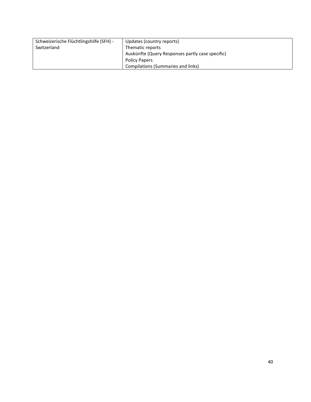| Schweizerische Flüchtlingshilfe (SFH) - | Updates (country reports)                        |
|-----------------------------------------|--------------------------------------------------|
| Switzerland                             | Thematic reports                                 |
|                                         | Auskünfte (Query Responses partly case specific) |
|                                         | <b>Policy Papers</b>                             |
|                                         | <b>Compilations (Summaries and links)</b>        |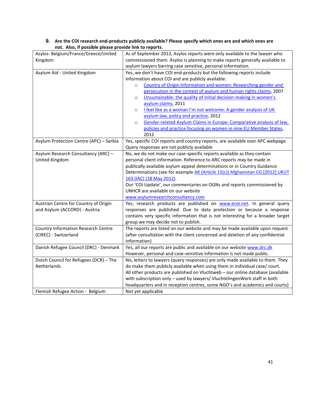| not. Also, if possible please provide link to reports. |                                                                                 |  |
|--------------------------------------------------------|---------------------------------------------------------------------------------|--|
| Asylos- Belgium/France/Greece/United                   | As of September 2013, Asylos reports were only available to the lawyer who      |  |
| Kingdom                                                | commissioned them. Asylos is planning to make reports generally available to    |  |
|                                                        | asylum lawyers barring case sensitive, personal information.                    |  |
| Asylum Aid - United Kingdom                            | Yes, we don't have COI end-products but the following reports include           |  |
|                                                        | information about COI and are publicly available:                               |  |
|                                                        | Country of Origin Information and women: Researching gender and<br>$\circ$      |  |
|                                                        | persecution in the context of asylum and human rights claims, 2007              |  |
|                                                        | Unsustainable: the quality of initial decision-making in women's<br>$\circ$     |  |
|                                                        | asylum claims, 2011                                                             |  |
|                                                        | I feel like as a woman I'm not welcome: A gender analysis of UK<br>$\circ$      |  |
|                                                        | asylum law, policy and practice, 2012                                           |  |
|                                                        | Gender-related Asylum Claims in Europe: Comparative analysis of law,<br>$\circ$ |  |
|                                                        | policies and practice focusing on women in nine EU Member States,               |  |
|                                                        | 2012                                                                            |  |
| Asylum Protection Centre (APC) - Serbia                | Yes, specific COI reports and country reports, are available over APC webpage.  |  |
|                                                        | Query responses are not publicly available                                      |  |
| Asylum Research Consultancy (ARC) -                    | No, we do not make our case-specific reports available as they contain          |  |
| United Kingdom                                         | personal client information. Reference to ARC reports may be made in            |  |
|                                                        | publically available asylum appeal determinations or in Country Guidance        |  |
|                                                        | Determinations (see for example AK (Article 15(c)) Afghanistan CG [2012] UKUT   |  |
|                                                        | 163 (IAC) (18 May 2012).                                                        |  |
|                                                        | Our 'COI Update', our commentaries on OGNs and reports commissioned by          |  |
|                                                        | UNHCR are available on our website                                              |  |
|                                                        | www.asylumresearchconsultancy.com                                               |  |
| Austrian Centre for Country of Origin                  | Yes, research products are published on www.ecoi.net. In general query          |  |
| and Asylum (ACCORD) - Austria                          | responses are published. Due to data protection or because a response           |  |
|                                                        | contains very specific information that is not interesting for a broader target |  |
|                                                        | group we may decide not to publish.                                             |  |
| <b>Country Information Research Centre</b>             | The reports are listed on our website and may be made available upon request    |  |
| (CIREC) - Switzerland                                  | (after consultation with the client concerned and deletion of any confidential  |  |
|                                                        | information)                                                                    |  |
| Danish Refugee Council (DRC) - Denmark                 | Yes, all our reports are public and available on our website www.drc.dk         |  |
|                                                        | However, personal and case-sensitive information is not made public.            |  |
| Dutch Council for Refugees (DCR) - The                 | No, letters to lawyers (query responses) are only made available to them. They  |  |
| Netherlands                                            | do make them publicly available when using them in individual case/ court.      |  |
|                                                        | All other products are published on Vluchtweb - our online database (available  |  |
|                                                        | with subscription only - used by lawyers/ VluchtelingenWerk staff in both       |  |
|                                                        | headquarters and in reception centres, some NGO's and academics and courts)     |  |
| Flemish Refugee Action - Belgium                       | Not yet applicable                                                              |  |

#### **9. Are the COI research end-products publicly available? Please specify which ones are and which ones are not. Also, if possible please provide link to reports.**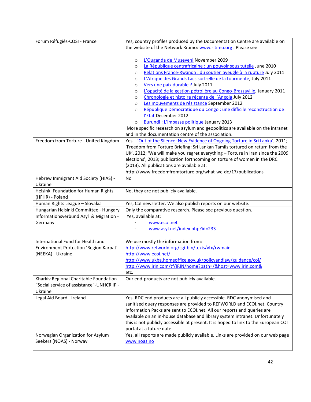| Forum Réfugiés-COSI - France                                                                     | Yes, country profiles produced by the Documentation Centre are available on                                                                                                                                                                                                                                                                                                                                                                                                                                                                                                                                                                                                                                                                                                                                       |
|--------------------------------------------------------------------------------------------------|-------------------------------------------------------------------------------------------------------------------------------------------------------------------------------------------------------------------------------------------------------------------------------------------------------------------------------------------------------------------------------------------------------------------------------------------------------------------------------------------------------------------------------------------------------------------------------------------------------------------------------------------------------------------------------------------------------------------------------------------------------------------------------------------------------------------|
|                                                                                                  | the website of the Network Ritimo: www.ritimo.org. Please see                                                                                                                                                                                                                                                                                                                                                                                                                                                                                                                                                                                                                                                                                                                                                     |
|                                                                                                  | L'Ouganda de Museveni November 2009<br>$\circ$<br>La République centrafricaine : un pouvoir sous tutelle June 2010<br>$\circ$<br>Relations France-Rwanda : du soutien aveugle à la rupture July 2011<br>$\circ$<br>L'Afrique des Grands Lacs sort-elle de la tourmente, July 2011<br>$\circ$<br>Vers une paix durable ? July 2011<br>$\circ$<br>L'opacité de la gestion pétrolière au Congo-Brazzaville, January 2011<br>$\circ$<br>Chronologie et histoire récente de l'Angola July 2012<br>$\circ$<br>Les mouvements de résistance September 2012<br>$\circ$<br>République Démocratique du Congo : une difficile reconstruction de<br>$\circ$<br>l'Etat December 2012<br>Burundi: L'impasse politique January 2013<br>$\circ$<br>More specific research on asylum and geopolitics are available on the intranet |
|                                                                                                  | and in the documentation centre of the association.                                                                                                                                                                                                                                                                                                                                                                                                                                                                                                                                                                                                                                                                                                                                                               |
| Freedom from Torture - United Kingdom                                                            | Yes - 'Out of the Silence: New Evidence of Ongoing Torture in Sri Lanka', 2011;<br>'Freedom from Torture Briefing: Sri Lankan Tamils tortured on return from the<br>UK', 2012; 'We will make you regret everything - Torture in Iran since the 2009<br>elections', 2013; publication forthcoming on torture of women in the DRC<br>(2013). All publications are available at:<br>http://www.freedomfromtorture.org/what-we-do/17/publications                                                                                                                                                                                                                                                                                                                                                                     |
| Hebrew Immigrant Aid Society (HIAS) -                                                            | No                                                                                                                                                                                                                                                                                                                                                                                                                                                                                                                                                                                                                                                                                                                                                                                                                |
| Ukraine                                                                                          |                                                                                                                                                                                                                                                                                                                                                                                                                                                                                                                                                                                                                                                                                                                                                                                                                   |
| Helsinki Foundation for Human Rights<br>(HFHR) - Poland                                          | No, they are not publicly available.                                                                                                                                                                                                                                                                                                                                                                                                                                                                                                                                                                                                                                                                                                                                                                              |
| Human Rights League - Slovakia                                                                   | Yes, CoI newsletter. We also publish reports on our website.                                                                                                                                                                                                                                                                                                                                                                                                                                                                                                                                                                                                                                                                                                                                                      |
| Hungarian Helsinki Committee - Hungary                                                           | Only the comparative research. Please see previous question.                                                                                                                                                                                                                                                                                                                                                                                                                                                                                                                                                                                                                                                                                                                                                      |
| Informationsverbund Asyl & Migration -<br>Germany                                                | Yes, available at:<br>www.ecoi.net<br>www.asyl.net/index.php?id=233                                                                                                                                                                                                                                                                                                                                                                                                                                                                                                                                                                                                                                                                                                                                               |
| International Fund for Health and<br>Environment Protection 'Region Karpat'<br>(NEEKA) - Ukraine | We use mostly the information from:<br>http://www.refworld.org/cgi-bin/texis/vtx/rwmain<br>http://www.ecoi.net/<br>http://www.ukba.homeoffice.gov.uk/policyandlaw/guidance/coi/<br>http://www.irin.com/tf/IRIN/home?path=/&host=www.irin.com&<br>etc.                                                                                                                                                                                                                                                                                                                                                                                                                                                                                                                                                             |
| Kharkiv Regional Charitable Foundation<br>"Social service of assistance"-UNHCR IP -<br>Ukraine   | Our end-products are not publicly available.                                                                                                                                                                                                                                                                                                                                                                                                                                                                                                                                                                                                                                                                                                                                                                      |
| Legal Aid Board - Ireland                                                                        | Yes, RDC end products are all publicly accessible. RDC anonymised and<br>sanitised query responses are provided to REFWORLD and ECOI.net. Country<br>Information Packs are sent to ECOI.net. All our reports and queries are<br>available on an in-house database and library system intranet. Unfortunately<br>this is not publicly accessible at present. It is hoped to link to the European COI<br>portal at a future date.                                                                                                                                                                                                                                                                                                                                                                                   |
| Norwegian Organization for Asylum<br>Seekers (NOAS) - Norway                                     | Yes, all reports are made publicly available. Links are provided on our web page<br>www.noas.no                                                                                                                                                                                                                                                                                                                                                                                                                                                                                                                                                                                                                                                                                                                   |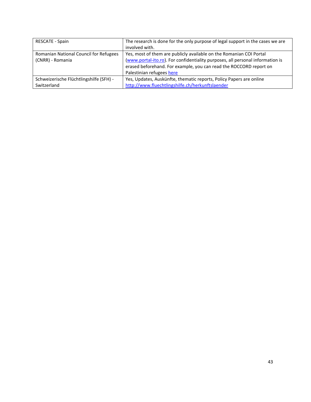| <b>RESCATE - Spain</b>                  | The research is done for the only purpose of legal support in the cases we are |
|-----------------------------------------|--------------------------------------------------------------------------------|
|                                         | involved with.                                                                 |
| Romanian National Council for Refugees  | Yes, most of them are publicly available on the Romanian COI Portal            |
| (CNRR) - Romania                        | (www.portal-ito.ro). For confidentiality purposes, all personal information is |
|                                         | erased beforehand. For example, you can read the ROCCORD report on             |
|                                         | Palestinian refugees here                                                      |
| Schweizerische Flüchtlingshilfe (SFH) - | Yes, Updates, Auskünfte, thematic reports, Policy Papers are online            |
| Switzerland                             | http://www.fluechtlingshilfe.ch/herkunftslaender                               |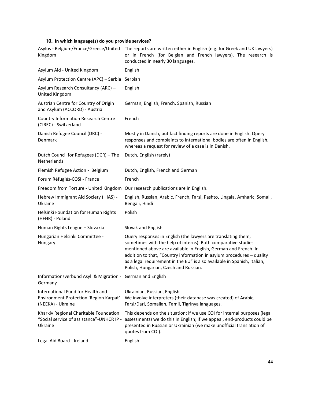#### **10. In which language(s) do you provide services?**

| Asylos - Belgium/France/Greece/United<br>Kingdom                                                 | The reports are written either in English (e.g. for Greek and UK lawyers)<br>or in French (for Belgian and French lawyers). The research is<br>conducted in nearly 30 languages.                                                                                                                                                                                                                |
|--------------------------------------------------------------------------------------------------|-------------------------------------------------------------------------------------------------------------------------------------------------------------------------------------------------------------------------------------------------------------------------------------------------------------------------------------------------------------------------------------------------|
| Asylum Aid - United Kingdom                                                                      | English                                                                                                                                                                                                                                                                                                                                                                                         |
| Asylum Protection Centre (APC) - Serbia                                                          | Serbian                                                                                                                                                                                                                                                                                                                                                                                         |
| Asylum Research Consultancy (ARC) -<br>United Kingdom                                            | English                                                                                                                                                                                                                                                                                                                                                                                         |
| Austrian Centre for Country of Origin<br>and Asylum (ACCORD) - Austria                           | German, English, French, Spanish, Russian                                                                                                                                                                                                                                                                                                                                                       |
| <b>Country Information Research Centre</b><br>(CIREC) - Switzerland                              | French                                                                                                                                                                                                                                                                                                                                                                                          |
| Danish Refugee Council (DRC) -<br>Denmark                                                        | Mostly in Danish, but fact finding reports are done in English. Query<br>responses and complaints to international bodies are often in English,<br>whereas a request for review of a case is in Danish.                                                                                                                                                                                         |
| Dutch Council for Refugees (DCR) - The<br>Netherlands                                            | Dutch, English (rarely)                                                                                                                                                                                                                                                                                                                                                                         |
| Flemish Refugee Action - Belgium                                                                 | Dutch, English, French and German                                                                                                                                                                                                                                                                                                                                                               |
| Forum Réfugiés-COSI - France                                                                     | French                                                                                                                                                                                                                                                                                                                                                                                          |
|                                                                                                  | Freedom from Torture - United Kingdom Our research publications are in English.                                                                                                                                                                                                                                                                                                                 |
| Hebrew Immigrant Aid Society (HIAS) -<br>Ukraine                                                 | English, Russian, Arabic, French, Farsi, Pashto, Lingala, Amharic, Somali,<br>Bengali, Hindi                                                                                                                                                                                                                                                                                                    |
| Helsinki Foundation for Human Rights<br>(HFHR) - Poland                                          | Polish                                                                                                                                                                                                                                                                                                                                                                                          |
| Human Rights League - Slovakia                                                                   | Slovak and English                                                                                                                                                                                                                                                                                                                                                                              |
| Hungarian Helsinki Committee -<br>Hungary                                                        | Query responses in English (the lawyers are translating them,<br>sometimes with the help of interns). Both comparative studies<br>mentioned above are available in English, German and French. In<br>addition to that, "Country information in asylum procedures - quality<br>as a legal requirement in the EU" is also available in Spanish, Italian,<br>Polish, Hungarian, Czech and Russian. |
| Informationsverbund Asyl & Migration - German and English<br>Germany                             |                                                                                                                                                                                                                                                                                                                                                                                                 |
| International Fund for Health and<br>Environment Protection 'Region Karpat'<br>(NEEKA) - Ukraine | Ukrainian, Russian, English<br>We involve interpreters (their database was created) of Arabic,<br>Farsi/Dari, Somalian, Tamil, Tigrinya languages.                                                                                                                                                                                                                                              |
| Kharkiv Regional Charitable Foundation<br>"Social service of assistance"-UNHCR IP -<br>Ukraine   | This depends on the situation: if we use COI for internal purposes (legal<br>assessments) we do this in English; if we appeal, end-products could be<br>presented in Russian or Ukrainian (we make unofficial translation of<br>quotes from COI).                                                                                                                                               |
| Legal Aid Board - Ireland                                                                        | English                                                                                                                                                                                                                                                                                                                                                                                         |
|                                                                                                  |                                                                                                                                                                                                                                                                                                                                                                                                 |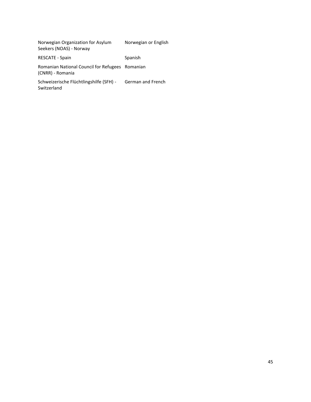| Norwegian Organization for Asylum<br>Seekers (NOAS) - Norway        | Norwegian or English |
|---------------------------------------------------------------------|----------------------|
| <b>RESCATE - Spain</b>                                              | Spanish              |
| Romanian National Council for Refugees Romanian<br>(CNRR) - Romania |                      |
| Schweizerische Flüchtlingshilfe (SFH) -<br>Switzerland              | German and French    |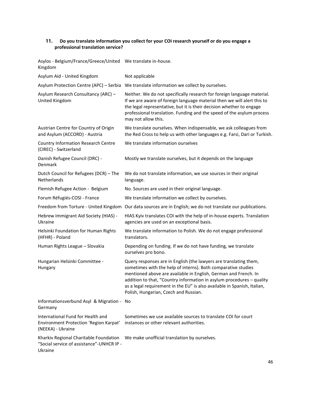#### **11. Do you translate information you collect for your COI research yourself or do you engage a professional translation service?**

Asylos - Belgium/France/Greece/United We translate in-house. Kingdom

| Asylum Aid - United Kingdom                                                                      | Not applicable                                                                                                                                                                                                                                                                                                                                                                                      |
|--------------------------------------------------------------------------------------------------|-----------------------------------------------------------------------------------------------------------------------------------------------------------------------------------------------------------------------------------------------------------------------------------------------------------------------------------------------------------------------------------------------------|
| Asylum Protection Centre (APC) - Serbia                                                          | We translate information we collect by ourselves.                                                                                                                                                                                                                                                                                                                                                   |
| Asylum Research Consultancy (ARC) -<br>United Kingdom                                            | Neither. We do not specifically research for foreign language material.<br>If we are aware of foreign language material then we will alert this to<br>the legal representative, but it is their decision whether to engage<br>professional translation. Funding and the speed of the asylum process<br>may not allow this.                                                                          |
| Austrian Centre for Country of Origin<br>and Asylum (ACCORD) - Austria                           | We translate ourselves. When indispensable, we ask colleagues from<br>the Red Cross to help us with other languages e.g. Farsi, Dari or Turkish.                                                                                                                                                                                                                                                    |
| <b>Country Information Research Centre</b><br>(CIREC) - Switzerland                              | We translate information ourselves                                                                                                                                                                                                                                                                                                                                                                  |
| Danish Refugee Council (DRC) -<br>Denmark                                                        | Mostly we translate ourselves, but it depends on the language                                                                                                                                                                                                                                                                                                                                       |
| Dutch Council for Refugees (DCR) - The<br>Netherlands                                            | We do not translate information, we use sources in their original<br>language.                                                                                                                                                                                                                                                                                                                      |
| Flemish Refugee Action - Belgium                                                                 | No. Sources are used in their original language.                                                                                                                                                                                                                                                                                                                                                    |
| Forum Réfugiés-COSI - France                                                                     | We translate information we collect by ourselves.                                                                                                                                                                                                                                                                                                                                                   |
|                                                                                                  | Freedom from Torture - United Kingdom Our data sources are in English; we do not translate our publications.                                                                                                                                                                                                                                                                                        |
| Hebrew Immigrant Aid Society (HIAS) -<br>Ukraine                                                 | HIAS Kyiv translates COI with the help of in-house experts. Translation<br>agencies are used on an exceptional basis.                                                                                                                                                                                                                                                                               |
| Helsinki Foundation for Human Rights<br>(HFHR) - Poland                                          | We translate information to Polish. We do not engage professional<br>translators.                                                                                                                                                                                                                                                                                                                   |
| Human Rights League - Slovakia                                                                   | Depending on funding. If we do not have funding, we translate<br>ourselves pro bono.                                                                                                                                                                                                                                                                                                                |
| Hungarian Helsinki Committee -<br>Hungary                                                        | Query responses are in English (the lawyers are translating them,<br>sometimes with the help of interns). Both comparative studies<br>mentioned above are available in English, German and French. In<br>addition to that, "Country information in asylum procedures - quality<br>as a legal requirement in the EU" is also available in Spanish, Italian,<br>Polish, Hungarian, Czech and Russian. |
| Informationsverbund Asyl & Migration - No<br>Germany                                             |                                                                                                                                                                                                                                                                                                                                                                                                     |
| International Fund for Health and<br>Environment Protection 'Region Karpat'<br>(NEEKA) - Ukraine | Sometimes we use available sources to translate COI for court<br>instances or other relevant authorities.                                                                                                                                                                                                                                                                                           |
| Kharkiv Regional Charitable Foundation<br>"Social service of assistance"-UNHCR IP -<br>Ukraine   | We make unofficial translation by ourselves.                                                                                                                                                                                                                                                                                                                                                        |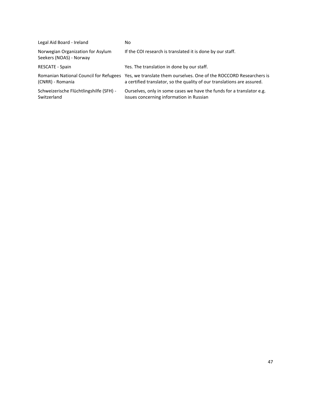| Legal Aid Board - Ireland                                    | No                                                                                                                                             |
|--------------------------------------------------------------|------------------------------------------------------------------------------------------------------------------------------------------------|
| Norwegian Organization for Asylum<br>Seekers (NOAS) - Norway | If the COI research is translated it is done by our staff.                                                                                     |
| <b>RESCATE - Spain</b>                                       | Yes. The translation in done by our staff.                                                                                                     |
| Romanian National Council for Refugees<br>(CNRR) - Romania   | Yes, we translate them ourselves. One of the ROCCORD Researchers is<br>a certified translator, so the quality of our translations are assured. |
| Schweizerische Flüchtlingshilfe (SFH) -<br>Switzerland       | Ourselves, only in some cases we have the funds for a translator e.g.<br>issues concerning information in Russian                              |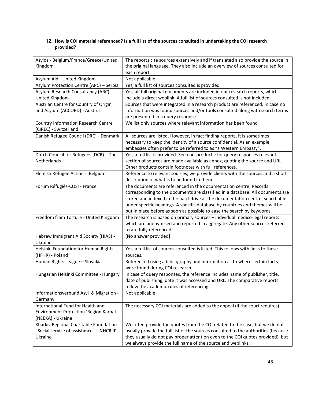#### **12. How is COI material referenced? Is a full list of the sources consulted in undertaking the COI research provided?**

| Asylos - Belgium/France/Greece/United<br>Kingdom                                                 | The reports cite sources extensively and if translated also provide the source in<br>the original language. They also include an overview of sources consulted for<br>each report.                                                                                                                                                                                                             |
|--------------------------------------------------------------------------------------------------|------------------------------------------------------------------------------------------------------------------------------------------------------------------------------------------------------------------------------------------------------------------------------------------------------------------------------------------------------------------------------------------------|
| Asylum Aid - United Kingdom                                                                      | Not applicable                                                                                                                                                                                                                                                                                                                                                                                 |
| Asylum Protection Centre (APC) - Serbia                                                          | Yes, a full list of sources consulted is provided.                                                                                                                                                                                                                                                                                                                                             |
| Asylum Research Consultancy (ARC) -<br>United Kingdom                                            | Yes, all full original documents are included in our research reports, which<br>include a direct weblink. A full list of sources consulted is not included.                                                                                                                                                                                                                                    |
| Austrian Centre for Country of Origin<br>and Asylum (ACCORD) - Austria                           | Sources that were integrated in a research product are referenced. In case no<br>information was found sources and/or tools consulted along with search terms                                                                                                                                                                                                                                  |
| Country Information Research Centre<br>(CIREC) - Switzerland                                     | are presented in a query response.<br>We list only sources where relevant information has been found                                                                                                                                                                                                                                                                                           |
| Danish Refugee Council (DRC) - Denmark                                                           | All sources are listed. However, in fact finding reports, it is sometimes<br>necessary to keep the identity of a source confidential. As an example,<br>embassies often prefer to be referred to as "a Western Embassy".                                                                                                                                                                       |
| Dutch Council for Refugees (DCR) - The<br><b>Netherlands</b>                                     | Yes, a full list is provided. See end-products: for query responses relevant<br>section of sources are made available as annex, quoting the source and URL.<br>Other products contain footnotes with full references.                                                                                                                                                                          |
| Flemish Refugee Action - Belgium                                                                 | Reference to relevant sources; we provide clients with the sources and a short<br>description of what is to be found in them.                                                                                                                                                                                                                                                                  |
| Forum Réfugiés-COSI - France                                                                     | The documents are referenced in the documentation centre. Records<br>corresponding to the documents are classified in a database. All documents are<br>stored and indexed in the hard-drive at the documentation centre, searchable<br>under specific headings. A specific database by countries and themes will be<br>put in place before as soon as possible to ease the search by keywords. |
| Freedom from Torture - United Kingdom                                                            | The research is based on primary sources - individual medico-legal reports<br>which are anonymised and reported in aggregate. Any other sources referred<br>to are fully referenced.                                                                                                                                                                                                           |
| Hebrew Immigrant Aid Society (HIAS) -<br>Ukraine                                                 | [No answer provided]                                                                                                                                                                                                                                                                                                                                                                           |
| Helsinki Foundation for Human Rights<br>(HFHR) - Poland                                          | Yes, a full list of sources consulted is listed. This follows with links to these<br>sources.                                                                                                                                                                                                                                                                                                  |
| Human Rights League - Slovakia                                                                   | Referenced using a bibliography and information as to where certain facts<br>were found during COI research.                                                                                                                                                                                                                                                                                   |
| Hungarian Helsinki Committee - Hungary                                                           | In case of query responses, the reference includes name of publisher, title,<br>date of publishing, date it was accessed and URL. The comparative reports<br>follow the academic rules of referencing.                                                                                                                                                                                         |
| Informationsverbund Asyl & Migration -<br>Germany                                                | Not applicable                                                                                                                                                                                                                                                                                                                                                                                 |
| International Fund for Health and<br>Environment Protection 'Region Karpat'<br>(NEEKA) - Ukraine | The necessary COI materials are added to the appeal (if the court requires).                                                                                                                                                                                                                                                                                                                   |
| Kharkiv Regional Charitable Foundation<br>"Social service of assistance"-UNHCR IP -<br>Ukraine   | We often provide the quotes from the COI related to the case, but we do not<br>usually provide the full list of the sources consulted to the authorities (because<br>they usually do not pay proper attention even to the COI quotes provided), but<br>we always provide the full name of the source and weblinks.                                                                             |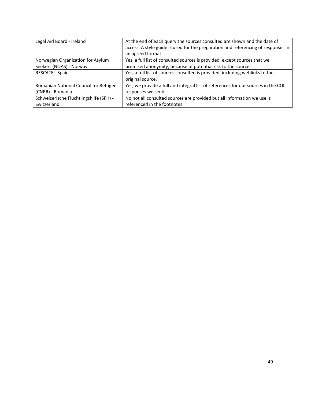| Legal Aid Board - Ireland               | At the end of each query the sources consulted are shown and the date of          |
|-----------------------------------------|-----------------------------------------------------------------------------------|
|                                         | access. A style guide is used for the preparation and referencing of responses in |
|                                         | an agreed format.                                                                 |
| Norwegian Organization for Asylum       | Yes, a full list of consulted sources is provided, except sources that we         |
| Seekers (NOAS) - Norway                 | promised anonymity, because of potential risk to the sources.                     |
| RESCATE - Spain                         | Yes, a full list of sources consulted is provided, including weblinks to the      |
|                                         | original source.                                                                  |
| Romanian National Council for Refugees  | Yes, we provide a full and integral list of references for our sources in the COI |
| (CNRR) - Romania                        | responses we send.                                                                |
| Schweizerische Flüchtlingshilfe (SFH) - | No not all consulted sources are provided but all information we use is           |
| Switzerland                             | referenced in the footnotes                                                       |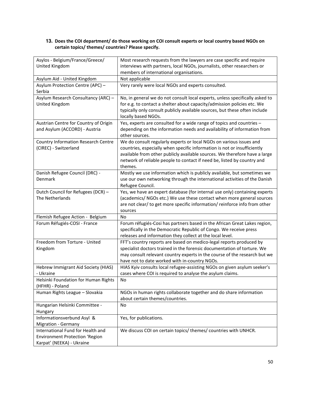#### **13. Does the COI department/ do those working on COI consult experts or local country based NGOs on certain topics/ themes/ countries? Please specify.**

| Asylos - Belgium/France/Greece/       | Most research requests from the lawyers are case specific and require        |
|---------------------------------------|------------------------------------------------------------------------------|
| United Kingdom                        | interviews with partners, local NGOs, journalists, other researchers or      |
|                                       | members of international organisations.                                      |
| Asylum Aid - United Kingdom           | Not applicable                                                               |
| Asylum Protection Centre (APC) -      | Very rarely were local NGOs and experts consulted.                           |
| Serbia                                |                                                                              |
| Asylum Research Consultancy (ARC) -   | No, in general we do not consult local experts, unless specifically asked to |
| United Kingdom                        | for e.g. to contact a shelter about capacity/admission policies etc. We      |
|                                       | typically only consult publicly available sources, but these often include   |
|                                       | locally based NGOs.                                                          |
| Austrian Centre for Country of Origin | Yes, experts are consulted for a wide range of topics and countries -        |
| and Asylum (ACCORD) - Austria         | depending on the information needs and availability of information from      |
|                                       | other sources.                                                               |
| Country Information Research Centre   | We do consult regularly experts or local NGOs on various issues and          |
| (CIREC) - Switzerland                 | countries, especially when specific information is not or insufficiently     |
|                                       | available from other publicly available sources. We therefore have a large   |
|                                       | network of reliable people to contact if need be, listed by country and      |
|                                       | themes.                                                                      |
| Danish Refugee Council (DRC) -        | Mostly we use information which is publicly available, but sometimes we      |
| Denmark                               | use our own networking through the international activities of the Danish    |
|                                       | Refugee Council.                                                             |
| Dutch Council for Refugees (DCR) -    | Yes, we have an expert database (for internal use only) containing experts   |
| The Netherlands                       | (academics/ NGOs etc.) We use these contact when more general sources        |
|                                       | are not clear/ to get more specific information/ reinforce info from other   |
|                                       | sources                                                                      |
| Flemish Refugee Action - Belgium      | No                                                                           |
| Forum Réfugiés-COSI - France          | Forum réfugiés-Cosi has partners based in the African Great Lakes region,    |
|                                       | specifically in the Democratic Republic of Congo. We receive press           |
|                                       | releases and information they collect at the local level.                    |
| Freedom from Torture - United         | FFT's country reports are based on medico-legal reports produced by          |
| Kingdom                               | specialist doctors trained in the forensic documentation of torture. We      |
|                                       | may consult relevant country experts in the course of the research but we    |
|                                       | have not to date worked with in-country NGOs.                                |
| Hebrew Immigrant Aid Society (HIAS)   | HIAS Kyiv consults local refugee-assisting NGOs on given asylum seeker's     |
| - Ukraine                             | cases where COI is required to analyse the asylum claims.                    |
| Helsinki Foundation for Human Rights  | No                                                                           |
| (HFHR) - Poland                       |                                                                              |
| Human Rights League - Slovakia        | NGOs in human rights collaborate together and do share information           |
|                                       | about certain themes/countries.                                              |
| Hungarian Helsinki Committee -        | No                                                                           |
| Hungary                               |                                                                              |
| Informationsverbund Asyl &            | Yes, for publications.                                                       |
| <b>Migration - Germany</b>            |                                                                              |
| International Fund for Health and     | We discuss COI on certain topics/ themes/ countries with UNHCR.              |
| Environment Protection 'Region        |                                                                              |
| Karpat' (NEEKA) - Ukraine             |                                                                              |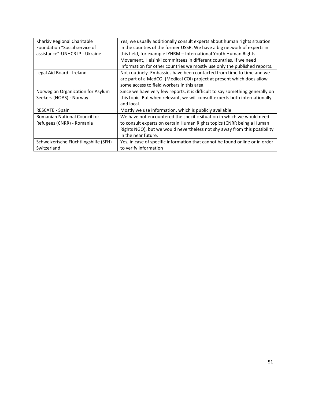| Kharkiv Regional Charitable             | Yes, we usually additionally consult experts about human rights situation     |
|-----------------------------------------|-------------------------------------------------------------------------------|
| Foundation "Social service of           | in the counties of the former USSR. We have a big network of experts in       |
| assistance"-UNHCR IP - Ukraine          | this field, for example IYHRM - International Youth Human Rights              |
|                                         | Movement, Helsinki committees in different countries. If we need              |
|                                         | information for other countries we mostly use only the published reports.     |
| Legal Aid Board - Ireland               | Not routinely. Embassies have been contacted from time to time and we         |
|                                         | are part of a MedCOI (Medical COI) project at present which does allow        |
|                                         | some access to field workers in this area.                                    |
| Norwegian Organization for Asylum       | Since we have very few reports, it is difficult to say something generally on |
| Seekers (NOAS) - Norway                 | this topic. But when relevant, we will consult experts both internationally   |
|                                         | and local.                                                                    |
| RESCATE - Spain                         | Mostly we use information, which is publicly available.                       |
| Romanian National Council for           | We have not encountered the specific situation in which we would need         |
| Refugees (CNRR) - Romania               | to consult experts on certain Human Rights topics (CNRR being a Human         |
|                                         | Rights NGO), but we would nevertheless not shy away from this possibility     |
|                                         | in the near future.                                                           |
| Schweizerische Flüchtlingshilfe (SFH) - | Yes, in case of specific information that cannot be found online or in order  |
| Switzerland                             | to verify information                                                         |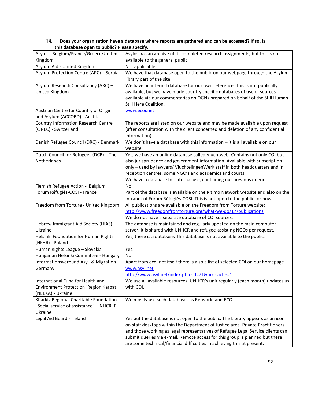| case specified by the contract in reasonable in the |                                                                                 |
|-----------------------------------------------------|---------------------------------------------------------------------------------|
| Asylos - Belgium/France/Greece/United               | Asylos has an archive of its completed research assignments, but this is not    |
| Kingdom                                             | available to the general public.                                                |
| Asylum Aid - United Kingdom                         | Not applicable                                                                  |
| Asylum Protection Centre (APC) - Serbia             | We have that database open to the public on our webpage through the Asylum      |
|                                                     | library part of the site.                                                       |
| Asylum Research Consultancy (ARC) -                 | We have an internal database for our own reference. This is not publically      |
| United Kingdom                                      | available, but we have made country specific databases of useful sources        |
|                                                     | available via our commentaries on OGNs prepared on behalf of the Still Human    |
|                                                     | Still Here Coalition.                                                           |
| Austrian Centre for Country of Origin               | www.ecoi.net                                                                    |
| and Asylum (ACCORD) - Austria                       |                                                                                 |
| <b>Country Information Research Centre</b>          | The reports are listed on our website and may be made available upon request    |
| (CIREC) - Switzerland                               | (after consultation with the client concerned and deletion of any confidential  |
|                                                     | information)                                                                    |
| Danish Refugee Council (DRC) - Denmark              | We don't have a database with this information $-$ it is all available on our   |
|                                                     | website                                                                         |
| Dutch Council for Refugees (DCR) - The              | Yes, we have an online database called Vluchtweb. Contains not only COI but     |
| Netherlands                                         | also jurisprudence and government information. Available with subscription      |
|                                                     | only - used by lawyers/ VluchtelingenWerk staff in both headquarters and in     |
|                                                     | reception centres, some NGO's and academics and courts.                         |
|                                                     | We have a database for internal use, containing our previous queries.           |
|                                                     |                                                                                 |
| Flemish Refugee Action - Belgium                    | No                                                                              |
| Forum Réfugiés-COSI - France                        | Part of the database is available on the Ritimo Network website and also on the |
|                                                     | Intranet of Forum Réfugiés-COSI. This is not open to the public for now.        |
| Freedom from Torture - United Kingdom               | All publications are available on the Freedom from Torture website:             |
|                                                     | http://www.freedomfromtorture.org/what-we-do/17/publications                    |
|                                                     | We do not have a separate database of COI sources.                              |
| Hebrew Immigrant Aid Society (HIAS) -               | The database is maintained and regularly updated on the main computer           |
| Ukraine                                             | server. It is shared with UNHCR and refugee-assisting NGOs per request.         |
| Helsinki Foundation for Human Rights                | Yes, there is a database. This database is not available to the public.         |
| (HFHR) - Poland                                     |                                                                                 |
| Human Rights League - Slovakia                      | Yes.                                                                            |
| Hungarian Helsinki Committee - Hungary              | No                                                                              |
| Informationsverbund Asyl & Migration -              | Apart from ecoi.net itself there is also a list of selected COI on our homepage |
| Germany                                             | www.asyl.net                                                                    |
|                                                     | http://www.asyl.net/index.php?id=71&no cache=1                                  |
| International Fund for Health and                   | We use all available resources. UNHCR's unit regularly (each month) updates us  |
| Environment Protection 'Region Karpat'              | with COI.                                                                       |
| (NEEKA) - Ukraine                                   |                                                                                 |
| Kharkiv Regional Charitable Foundation              | We mostly use such databases as Refworld and ECOI                               |
| "Social service of assistance"-UNHCR IP -           |                                                                                 |
| Ukraine                                             |                                                                                 |
| Legal Aid Board - Ireland                           | Yes but the database is not open to the public. The Library appears as an icon  |
|                                                     | on staff desktops within the Department of Justice area. Private Practitioners  |
|                                                     | and those working as legal representatives of Refugee Legal Service clients can |
|                                                     | submit queries via e-mail. Remote access for this group is planned but there    |
|                                                     | are some technical/financial difficulties in achieving this at present.         |

#### **14. Does your organisation have a database where reports are gathered and can be accessed? If so, is this database open to public? Please specify.**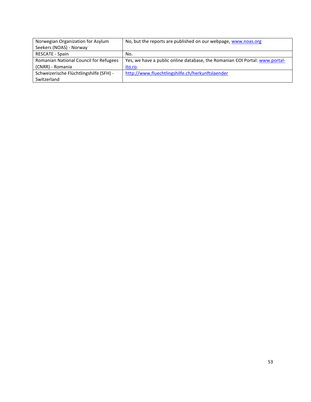| Norwegian Organization for Asylum       | No, but the reports are published on our webpage, www.noas.org              |
|-----------------------------------------|-----------------------------------------------------------------------------|
| Seekers (NOAS) - Norway                 |                                                                             |
| <b>RESCATE - Spain</b>                  | No.                                                                         |
| Romanian National Council for Refugees  | Yes, we have a public online database, the Romanian COI Portal: www.portal- |
| (CNRR) - Romania                        | ito.ro.                                                                     |
| Schweizerische Flüchtlingshilfe (SFH) - | http://www.fluechtlingshilfe.ch/herkunftslaender                            |
| Switzerland                             |                                                                             |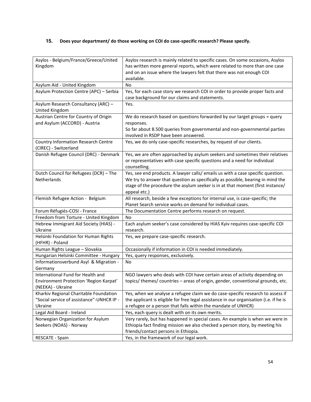#### **15. Does your department/ do those working on COI do case-specific research? Please specify.**

| Asylos - Belgium/France/Greece/United      | Asylos research is mainly related to specific cases. On some occasions, Asylos         |
|--------------------------------------------|----------------------------------------------------------------------------------------|
| Kingdom                                    | has written more general reports, which were related to more than one case             |
|                                            | and on an issue where the lawyers felt that there was not enough COI                   |
|                                            | available.                                                                             |
| Asylum Aid - United Kingdom                | No                                                                                     |
| Asylum Protection Centre (APC) - Serbia    | Yes, for each case story we research COI in order to provide proper facts and          |
|                                            | case background for our claims and statements.                                         |
| Asylum Research Consultancy (ARC) -        | Yes.                                                                                   |
| United Kingdom                             |                                                                                        |
| Austrian Centre for Country of Origin      | We do research based on questions forwarded by our target groups = query               |
| and Asylum (ACCORD) - Austria              | responses.                                                                             |
|                                            | So far about 8.500 queries from governmental and non-governmental parties              |
|                                            | involved in RSDP have been answered.                                                   |
| <b>Country Information Research Centre</b> | Yes, we do only case-specific researches, by request of our clients.                   |
| (CIREC) - Switzerland                      |                                                                                        |
| Danish Refugee Council (DRC) - Denmark     | Yes, we are often approached by asylum seekers and sometimes their relatives           |
|                                            | or representatives with case specific questions and a need for individual              |
|                                            | counselling.                                                                           |
| Dutch Council for Refugees (DCR) - The     | Yes, see end products. A lawyer calls/ emails us with a case specific question.        |
| Netherlands                                | We try to answer that question as specifically as possible, bearing in mind the        |
|                                            | stage of the procedure the asylum seeker is in at that moment (first instance/         |
|                                            | appeal etc.)                                                                           |
| Flemish Refugee Action - Belgium           | All research, beside a few exceptions for internal use, is case-specific; the          |
|                                            | Planet Search service works on demand for individual cases.                            |
| Forum Réfugiés-COSI - France               | The Documentation Centre performs research on request.                                 |
| Freedom from Torture - United Kingdom      | No                                                                                     |
| Hebrew Immigrant Aid Society (HIAS) -      | Each asylum seeker's case considered by HIAS Kyiv requires case-specific COI           |
| Ukraine                                    | research.                                                                              |
| Helsinki Foundation for Human Rights       | Yes, we prepare case-specific research.                                                |
| (HFHR) - Poland                            |                                                                                        |
| Human Rights League - Slovakia             | Occasionally if information in COI is needed immediately.                              |
| Hungarian Helsinki Committee - Hungary     | Yes, query responses, exclusively.                                                     |
| Informationsverbund Asyl & Migration -     | No                                                                                     |
| Germany                                    |                                                                                        |
| International Fund for Health and          | NGO lawyers who deals with COI have certain areas of activity depending on             |
| Environment Protection 'Region Karpat'     | topics/ themes/ countries - areas of origin, gender, conventional grounds, etc.        |
| (NEEKA) - Ukraine                          |                                                                                        |
| Kharkiv Regional Charitable Foundation     | Yes, when we analyse a refugee claim we do case-specific research to assess if         |
| "Social service of assistance"-UNHCR IP -  | the applicant is eligible for free legal assistance in our organisation (i.e. if he is |
| Ukraine                                    | a refugee or a person that falls within the mandate of UNHCR)                          |
| Legal Aid Board - Ireland                  | Yes, each query is dealt with on its own merits.                                       |
| Norwegian Organization for Asylum          | Very rarely, but has happened in special cases. An example is when we were in          |
| Seekers (NOAS) - Norway                    | Ethiopia fact finding mission we also checked a person story, by meeting his           |
|                                            | friends/contact persons in Ethiopia.                                                   |
| RESCATE - Spain                            | Yes, in the framework of our legal work.                                               |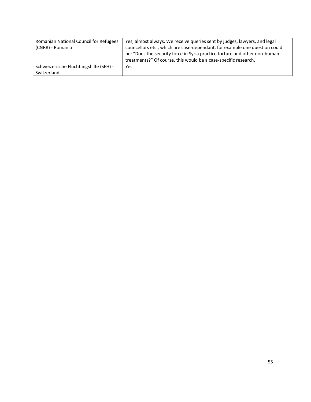| Romanian National Council for Refugees<br>(CNRR) - Romania | Yes, almost always. We receive queries sent by judges, lawyers, and legal<br>councellors etc., which are case-dependant, for example one question could<br>be: "Does the security force in Syria practice torture and other non-human<br>treatments?" Of course, this would be a case-specific research. |
|------------------------------------------------------------|----------------------------------------------------------------------------------------------------------------------------------------------------------------------------------------------------------------------------------------------------------------------------------------------------------|
| Schweizerische Flüchtlingshilfe (SFH) -<br>Switzerland     | Yes                                                                                                                                                                                                                                                                                                      |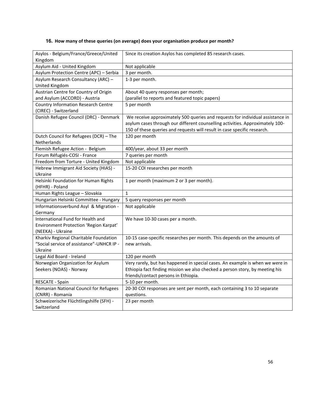#### **16. How many of these queries (on average) does your organisation produce per month?**

| Asylos - Belgium/France/Greece/United<br>Kingdom                                    | Since its creation Asylos has completed 85 research cases.                     |
|-------------------------------------------------------------------------------------|--------------------------------------------------------------------------------|
| Asylum Aid - United Kingdom                                                         | Not applicable                                                                 |
| Asylum Protection Centre (APC) - Serbia                                             | 3 per month.                                                                   |
| Asylum Research Consultancy (ARC) -                                                 | 1-3 per month.                                                                 |
| United Kingdom                                                                      |                                                                                |
| Austrian Centre for Country of Origin                                               | About 40 query responses per month;                                            |
| and Asylum (ACCORD) - Austria                                                       | (parallel to reports and featured topic papers)                                |
| <b>Country Information Research Centre</b>                                          | 5 per month                                                                    |
| (CIREC) - Switzerland                                                               |                                                                                |
| Danish Refugee Council (DRC) - Denmark                                              | We receive approximately 500 queries and requests for individual assistance in |
|                                                                                     | asylum cases through our different counselling activities. Approximately 100-  |
|                                                                                     | 150 of these queries and requests will result in case specific research.       |
| Dutch Council for Refugees (DCR) - The                                              | 120 per month                                                                  |
| Netherlands                                                                         |                                                                                |
| Flemish Refugee Action - Belgium                                                    | 400/year, about 33 per month                                                   |
| Forum Réfugiés-COSI - France                                                        | 7 queries per month                                                            |
| Freedom from Torture - United Kingdom                                               | Not applicable                                                                 |
| Hebrew Immigrant Aid Society (HIAS) -                                               | 15-20 COI researches per month                                                 |
| Ukraine                                                                             |                                                                                |
| Helsinki Foundation for Human Rights                                                | 1 per month (maximum 2 or 3 per month).                                        |
| (HFHR) - Poland                                                                     |                                                                                |
| Human Rights League - Slovakia                                                      | $\mathbf{1}$                                                                   |
| Hungarian Helsinki Committee - Hungary                                              | 5 query responses per month                                                    |
| Informationsverbund Asyl & Migration -                                              | Not applicable                                                                 |
| Germany                                                                             |                                                                                |
| International Fund for Health and                                                   | We have 10-30 cases per a month.                                               |
| Environment Protection 'Region Karpat'                                              |                                                                                |
| (NEEKA) - Ukraine                                                                   |                                                                                |
| Kharkiv Regional Charitable Foundation<br>"Social service of assistance"-UNHCR IP - | 10-15 case-specific researches per month. This depends on the amounts of       |
| Ukraine                                                                             | new arrivals.                                                                  |
| Legal Aid Board - Ireland                                                           | 120 per month                                                                  |
| Norwegian Organization for Asylum                                                   | Very rarely, but has happened in special cases. An example is when we were in  |
| Seekers (NOAS) - Norway                                                             | Ethiopia fact finding mission we also checked a person story, by meeting his   |
|                                                                                     | friends/contact persons in Ethiopia.                                           |
| RESCATE - Spain                                                                     | 5-10 per month.                                                                |
| Romanian National Council for Refugees                                              | 20-30 COI responses are sent per month, each containing 3 to 10 separate       |
| (CNRR) - Romania                                                                    | questions.                                                                     |
| Schweizerische Flüchtlingshilfe (SFH) -                                             | 23 per month                                                                   |
| Switzerland                                                                         |                                                                                |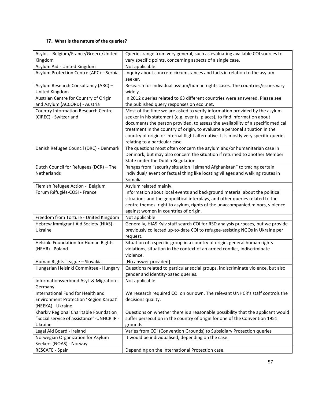#### **17. What is the nature of the queries?**

| Asylos - Belgium/France/Greece/United                                               | Queries range from very general, such as evaluating available COI sources to                              |
|-------------------------------------------------------------------------------------|-----------------------------------------------------------------------------------------------------------|
| Kingdom                                                                             | very specific points, concerning aspects of a single case.                                                |
| Asylum Aid - United Kingdom                                                         | Not applicable                                                                                            |
| Asylum Protection Centre (APC) - Serbia                                             | Inquiry about concrete circumstances and facts in relation to the asylum                                  |
|                                                                                     | seeker.                                                                                                   |
| Asylum Research Consultancy (ARC) -                                                 | Research for individual asylum/human rights cases. The countries/issues vary                              |
| United Kingdom                                                                      | widely.                                                                                                   |
| Austrian Centre for Country of Origin                                               | In 2012 queries related to 63 different countries were answered. Please see                               |
| and Asylum (ACCORD) - Austria                                                       | the published query responses on ecoi.net.                                                                |
| <b>Country Information Research Centre</b>                                          | Most of the time we are asked to verify information provided by the asylum-                               |
| (CIREC) - Switzerland                                                               | seeker in his statement (e.g. events, places), to find information about                                  |
|                                                                                     | documents the person provided, to assess the availability of a specific medical                           |
|                                                                                     | treatment in the country of origin, to evaluate a personal situation in the                               |
|                                                                                     | country of origin or internal flight alternative. It is mostly very specific queries                      |
|                                                                                     | relating to a particular case.<br>The questions most often concern the asylum and/or humanitarian case in |
| Danish Refugee Council (DRC) - Denmark                                              | Denmark, but may also concern the situation if returned to another Member                                 |
|                                                                                     | State under the Dublin Regulation.                                                                        |
| Dutch Council for Refugees (DCR) - The                                              | Ranges from "security situation Helmand Afghanistan" to tracing certain                                   |
| Netherlands                                                                         | individual/ event or factual thing like locating villages and walking routes in                           |
|                                                                                     | Somalia.                                                                                                  |
| Flemish Refugee Action - Belgium                                                    | Asylum related mainly.                                                                                    |
| Forum Réfugiés-COSI - France                                                        | Information about local events and background material about the political                                |
|                                                                                     | situations and the geopolitical interplays, and other queries related to the                              |
|                                                                                     | centre themes: right to asylum, rights of the unaccompanied minors, violence                              |
|                                                                                     | against women in countries of origin.                                                                     |
| Freedom from Torture - United Kingdom                                               | Not applicable                                                                                            |
| Hebrew Immigrant Aid Society (HIAS) -                                               | Generally, HIAS Kyiv staff search COI for RSD analysis purposes, but we provide                           |
| Ukraine                                                                             | previously collected up-to-date COI to refugee-assisting NGOs in Ukraine per                              |
|                                                                                     | request.                                                                                                  |
| Helsinki Foundation for Human Rights                                                | Situation of a specific group in a country of origin, general human rights                                |
| (HFHR) - Poland                                                                     | violations, situation in the context of an armed conflict, indiscriminate                                 |
|                                                                                     | violence.                                                                                                 |
| Human Rights League - Slovakia                                                      | [No answer provided]                                                                                      |
| Hungarian Helsinki Committee - Hungary                                              | Questions related to particular social groups, indiscriminate violence, but also                          |
|                                                                                     | gender and identity-based queries.                                                                        |
| Informationsverbund Asyl & Migration -                                              | Not applicable                                                                                            |
| Germany                                                                             |                                                                                                           |
| International Fund for Health and                                                   | We research required COI on our own. The relevant UNHCR's staff controls the                              |
| Environment Protection 'Region Karpat'                                              | decisions quality.                                                                                        |
| (NEEKA) - Ukraine                                                                   |                                                                                                           |
| Kharkiv Regional Charitable Foundation<br>"Social service of assistance"-UNHCR IP - | Questions on whether there is a reasonable possibility that the applicant would                           |
| Ukraine                                                                             | suffer persecution in the country of origin for one of the Convention 1951                                |
| Legal Aid Board - Ireland                                                           | grounds<br>Varies from COI (Convention Grounds) to Subsidiary Protection queries                          |
| Norwegian Organization for Asylum                                                   | It would be individualised, depending on the case.                                                        |
| Seekers (NOAS) - Norway                                                             |                                                                                                           |
| RESCATE - Spain                                                                     | Depending on the International Protection case.                                                           |
|                                                                                     |                                                                                                           |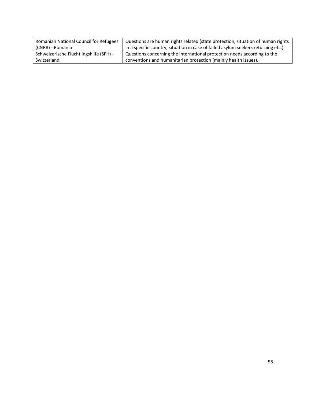| Romanian National Council for Refugees  | Questions are human rights related (state protection, situation of human rights   |
|-----------------------------------------|-----------------------------------------------------------------------------------|
| (CNRR) - Romania                        | in a specific country, situation in case of failed asylum seekers returning etc.) |
| Schweizerische Flüchtlingshilfe (SFH) - | Questions concerning the international protection needs according to the          |
| Switzerland                             | conventions and humanitarian protection (mainly health issues).                   |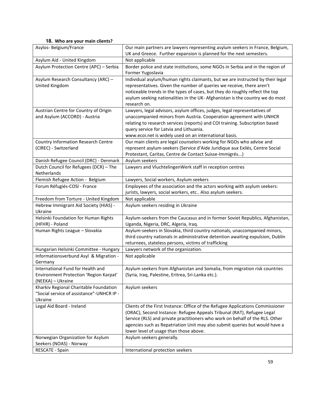#### **18. Who are your main clients?**

| Asylos-Belgium/France                      | Our main partners are lawyers representing asylum seekers in France, Belgium,                                         |
|--------------------------------------------|-----------------------------------------------------------------------------------------------------------------------|
|                                            | UK and Greece. Further expansion is planned for the next semesters.                                                   |
| Asylum Aid - United Kingdom                | Not applicable                                                                                                        |
| Asylum Protection Centre (APC) - Serbia    | Border police and state institutions, some NGOs in Serbia and in the region of                                        |
| Asylum Research Consultancy (ARC) -        | Former Yugoslavia<br>Individual asylum/human rights claimants, but we are instructed by their legal                   |
|                                            |                                                                                                                       |
| United Kingdom                             | representatives. Given the number of queries we receive, there aren't                                                 |
|                                            | noticeable trends in the types of cases, but they do roughly reflect the top                                          |
|                                            | asylum seeking nationalities in the UK- Afghanistan is the country we do most<br>research on.                         |
| Austrian Centre for Country of Origin      | Lawyers, legal advisors, asylum offices, judges, legal representatives of                                             |
| and Asylum (ACCORD) - Austria              | unaccompanied minors from Austria. Cooperation agreement with UNHCR                                                   |
|                                            | relating to research services (reports) and COI training. Subscription based                                          |
|                                            | query service for Latvia and Lithuania.                                                                               |
|                                            | www.ecoi.net is widely used on an international basis.                                                                |
| <b>Country Information Research Centre</b> | Our main clients are legal counselors working for NGOs who advise and                                                 |
| (CIREC) - Switzerland                      | represent asylum-seekers (Service d'Aide Juridique aux Exilés, Centre Social                                          |
|                                            | Protestant, Caritas, Centre de Contact Suisse-Immigrés)                                                               |
| Danish Refugee Council (DRC) - Denmark     | Asylum seekers                                                                                                        |
| Dutch Council for Refugees (DCR) - The     | Lawyers and VluchtelingenWerk staff in reception centres                                                              |
| Netherlands                                |                                                                                                                       |
| Flemish Refugee Action - Belgium           | Lawyers, Social workers, Asylum seekers                                                                               |
| Forum Réfugiés-COSI - France               | Employees of the association and the actors working with asylum seekers:                                              |
|                                            | jurists, lawyers, social workers, etc Also asylum seekers.                                                            |
| Freedom from Torture - United Kingdom      | Not applicable                                                                                                        |
| Hebrew Immigrant Aid Society (HIAS) -      | Asylum seekers residing in Ukraine                                                                                    |
| Ukraine                                    |                                                                                                                       |
| Helsinki Foundation for Human Rights       | Asylum-seekers from the Caucasus and in former Soviet Republics, Afghanistan,                                         |
| (HFHR) - Poland                            | Uganda, Nigeria, DRC, Algeria, Iraq.                                                                                  |
| Human Rights League - Slovakia             | Asylum-seekers in Slovakia, third country nationals, unaccompanied minors,                                            |
|                                            | third country nationals in administrative detention awaiting expulsion, Dublin                                        |
|                                            | returnees, stateless persons, victims of trafficking                                                                  |
| Hungarian Helsinki Committee - Hungary     | Lawyers network of the organization.                                                                                  |
| Informationsverbund Asyl & Migration -     | Not applicable                                                                                                        |
| Germany                                    |                                                                                                                       |
| International Fund for Health and          | Asylum seekers from Afghanistan and Somalia, from migration risk countries                                            |
| Environment Protection 'Region Karpat'     | (Syria, Iraq, Palestine, Eritrea, Sri-Lanka etc.).                                                                    |
| (NEEKA) - Ukraine                          |                                                                                                                       |
| Kharkiv Regional Charitable Foundation     | Asylum seekers                                                                                                        |
| "Social service of assistance"-UNHCR IP -  |                                                                                                                       |
| Ukraine                                    |                                                                                                                       |
| Legal Aid Board - Ireland                  | Clients of the First Instance: Office of the Refugee Applications Commissioner                                        |
|                                            | (ORAC), Second Instance: Refugee Appeals Tribunal (RAT), Refugee Legal                                                |
|                                            | Service (RLS) and private practitioners who work on behalf of the RLS. Other                                          |
|                                            | agencies such as Repatriation Unit may also submit queries but would have a<br>lower level of usage than those above. |
| Norwegian Organization for Asylum          | Asylum seekers generally.                                                                                             |
| Seekers (NOAS) - Norway                    |                                                                                                                       |
| RESCATE - Spain                            | International protection seekers                                                                                      |
|                                            |                                                                                                                       |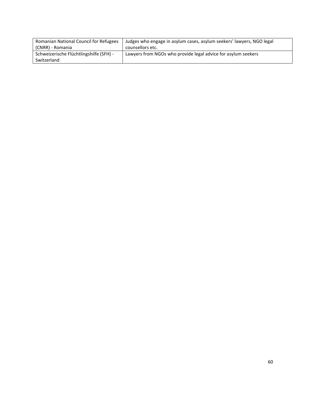| <b>Romanian National Council for Refugees</b> | Judges who engage in asylum cases, asylum seekers' lawyers, NGO legal |
|-----------------------------------------------|-----------------------------------------------------------------------|
| (CNRR) - Romania                              | counsellors etc.                                                      |
| Schweizerische Flüchtlingshilfe (SFH) -       | Lawyers from NGOs who provide legal advice for asylum seekers         |
| Switzerland                                   |                                                                       |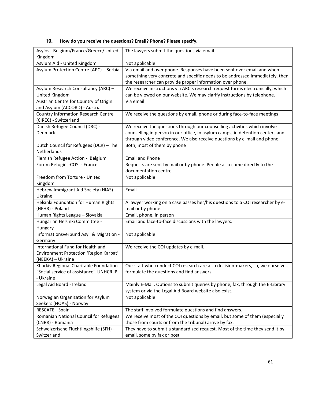#### Asylos - Belgium/France/Greece/United Kingdom The lawyers submit the questions via email. Asylum Aid - United Kingdom | Not applicable Asylum Protection Centre (APC) – Serbia | Via email and over phone. Responses have been sent over email and when something very concrete and specific needs to be addressed immediately, then the researcher can provide proper information over phone. Asylum Research Consultancy (ARC) – United Kingdom We receive instructions via ARC's research request forms electronically, which can be viewed on our website. We may clarify instructions by telephone. Austrian Centre for Country of Origin and Asylum (ACCORD) - Austria Via email Country Information Research Centre (CIREC) - Switzerland We receive the questions by email, phone or during face-to-face meetings Danish Refugee Council (DRC) - Denmark We receive the questions through our counselling activities which involve counselling in person in our office, in asylum camps, in detention centers and through video conference. We also receive questions by e-mail and phone. Dutch Council for Refugees (DCR) – The Netherlands Both, most of them by phone Flemish Refugee Action - Belgium | Email and Phone Forum Réfugiés-COSI - France Requests are sent by mail or by phone. People also come directly to the documentation centre. Freedom from Torture - United Kingdom Not applicable Hebrew Immigrant Aid Society (HIAS) - Ukraine Email Helsinki Foundation for Human Rights (HFHR) - Poland A lawyer working on a case passes her/his questions to a COI researcher by email or by phone. Human Rights League – Slovakia  $\vert$  Email, phone, in person Hungarian Helsinki Committee - Hungary Email and face-to-face discussions with the lawyers. Informationsverbund Asyl & Migration - Germany Not applicable International Fund for Health and Environment Protection 'Region Karpat' (NEEKA) – Ukraine We receive the COI updates by e-mail. Kharkiv Regional Charitable Foundation "Social service of assistance"-UNHCR IP - Ukraine Our staff who conduct COI research are also decision-makers, so, we ourselves formulate the questions and find answers. Legal Aid Board - Ireland **Mainly E-Mail.** Options to submit queries by phone, fax, through the E-Library system or via the Legal Aid Board website also exist. Norwegian Organization for Asylum Seekers (NOAS) - Norway Not applicable RESCATE - Spain The staff involved formulate questions and find answers. Romanian National Council for Refugees (CNRR) - Romania We receive most of the COI questions by email, but some of them (especially those from courts or from the tribunal) arrive by fax. Schweizerische Flüchtlingshilfe (SFH) - Switzerland They have to submit a standardized request. Most of the time they send it by email, some by fax or post

#### **19. How do you receive the questions? Email? Phone? Please specify.**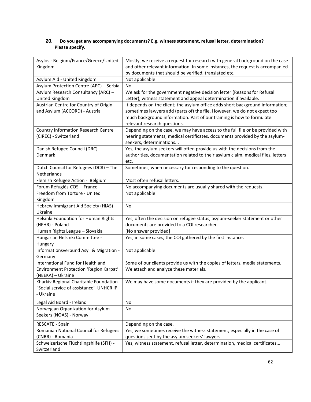#### **20. Do you get any accompanying documents? E.g. witness statement, refusal letter, determination? Please specify.**

| Asylos - Belgium/France/Greece/United                            | Mostly, we receive a request for research with general background on the case                                                                       |
|------------------------------------------------------------------|-----------------------------------------------------------------------------------------------------------------------------------------------------|
| Kingdom                                                          | and other relevant information. In some instances, the request is accompanied                                                                       |
|                                                                  | by documents that should be verified, translated etc.                                                                                               |
| Asylum Aid - United Kingdom                                      | Not applicable                                                                                                                                      |
| Asylum Protection Centre (APC) - Serbia                          | No                                                                                                                                                  |
| Asylum Research Consultancy (ARC) -                              | We ask for the government negative decision letter (Reasons for Refusal                                                                             |
| United Kingdom<br>Austrian Centre for Country of Origin          | Letter), witness statement and appeal determination if available.<br>It depends on the client; the asylum office adds short background information; |
| and Asylum (ACCORD) - Austria                                    | sometimes lawyers add (parts of) the file. However, we do not expect too                                                                            |
|                                                                  | much background information. Part of our training is how to formulate                                                                               |
|                                                                  | relevant research questions.                                                                                                                        |
| <b>Country Information Research Centre</b>                       | Depending on the case, we may have access to the full file or be provided with                                                                      |
| (CIREC) - Switzerland                                            | hearing statements, medical certificates, documents provided by the asylum-                                                                         |
|                                                                  | seekers, determinations                                                                                                                             |
| Danish Refugee Council (DRC) -                                   | Yes, the asylum seekers will often provide us with the decisions from the                                                                           |
| Denmark                                                          | authorities, documentation related to their asylum claim, medical files, letters                                                                    |
|                                                                  | etc.                                                                                                                                                |
| Dutch Council for Refugees (DCR) - The                           | Sometimes, when necessary for responding to the question.                                                                                           |
| Netherlands                                                      | Most often refusal letters.                                                                                                                         |
| Flemish Refugee Action - Belgium<br>Forum Réfugiés-COSI - France |                                                                                                                                                     |
| Freedom from Torture - United                                    | No accompanying documents are usually shared with the requests.<br>Not applicable                                                                   |
| Kingdom                                                          |                                                                                                                                                     |
| Hebrew Immigrant Aid Society (HIAS) -                            | No                                                                                                                                                  |
| Ukraine                                                          |                                                                                                                                                     |
| Helsinki Foundation for Human Rights                             | Yes, often the decision on refugee status, asylum-seeker statement or other                                                                         |
| (HFHR) - Poland                                                  | documents are provided to a COI researcher.                                                                                                         |
| Human Rights League - Slovakia                                   | [No answer provided]                                                                                                                                |
| Hungarian Helsinki Committee -                                   | Yes, in some cases, the COI gathered by the first instance.                                                                                         |
| Hungary                                                          |                                                                                                                                                     |
| Informationsverbund Asyl & Migration -                           | Not applicable                                                                                                                                      |
| Germany<br>International Fund for Health and                     | Some of our clients provide us with the copies of letters, media statements.                                                                        |
| Environment Protection 'Region Karpat'                           | We attach and analyze these materials.                                                                                                              |
| (NEEKA) - Ukraine                                                |                                                                                                                                                     |
| Kharkiv Regional Charitable Foundation                           | We may have some documents if they are provided by the applicant.                                                                                   |
| "Social service of assistance"-UNHCR IP                          |                                                                                                                                                     |
| - Ukraine                                                        |                                                                                                                                                     |
| Legal Aid Board - Ireland                                        | No                                                                                                                                                  |
| Norwegian Organization for Asylum                                | No                                                                                                                                                  |
| Seekers (NOAS) - Norway                                          |                                                                                                                                                     |
| RESCATE - Spain                                                  | Depending on the case.                                                                                                                              |
| Romanian National Council for Refugees                           | Yes, we sometimes receive the witness statement, especially in the case of                                                                          |
| (CNRR) - Romania                                                 | questions sent by the asylum seekers' lawyers.                                                                                                      |
| Schweizerische Flüchtlingshilfe (SFH) -                          | Yes, witness statement, refusal letter, determination, medical certificates                                                                         |
| Switzerland                                                      |                                                                                                                                                     |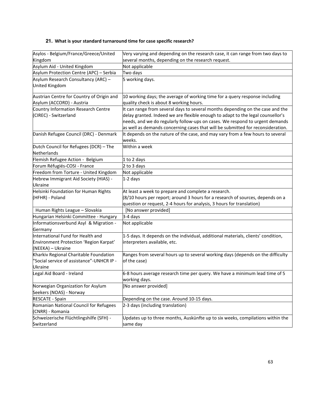#### **21. What is your standard turnaround time for case specific research?**

| Asylos - Belgium/France/Greece/United     | Very varying and depending on the research case, it can range from two days to           |
|-------------------------------------------|------------------------------------------------------------------------------------------|
| Kingdom                                   | several months, depending on the research request.                                       |
| Asylum Aid - United Kingdom               | Not applicable                                                                           |
| Asylum Protection Centre (APC) - Serbia   | Two days                                                                                 |
| Asylum Research Consultancy (ARC) -       | 5 working days.                                                                          |
| United Kingdom                            |                                                                                          |
|                                           |                                                                                          |
| Austrian Centre for Country of Origin and | 10 working days; the average of working time for a query response including              |
| Asylum (ACCORD) - Austria                 | quality check is about 8 working hours.                                                  |
| Country Information Research Centre       | It can range from several days to several months depending on the case and the           |
| (CIREC) - Switzerland                     | delay granted. Indeed we are flexible enough to adapt to the legal counsellor's          |
|                                           | needs, and we do regularly follow-ups on cases. We respond to urgent demands             |
|                                           | as well as demands concerning cases that will be submitted for reconsideration.          |
| Danish Refugee Council (DRC) - Denmark    | It depends on the nature of the case, and may vary from a few hours to several<br>weeks. |
| Dutch Council for Refugees (DCR) - The    | Within a week                                                                            |
| Netherlands                               |                                                                                          |
| Flemish Refugee Action - Belgium          | 1 to 2 days                                                                              |
| Forum Réfugiés-COSI - France              | 2 to 3 days                                                                              |
| Freedom from Torture - United Kingdom     | Not applicable                                                                           |
| Hebrew Immigrant Aid Society (HIAS) -     | 1-2 days                                                                                 |
| <b>Ukraine</b>                            |                                                                                          |
| Helsinki Foundation for Human Rights      | At least a week to prepare and complete a research.                                      |
| (HFHR) - Poland                           | (8/10 hours per report; around 3 hours for a research of sources, depends on a           |
|                                           | question or request, 2-4 hours for analysis, 3 hours for translation)                    |
| Human Rights League - Slovakia            | [No answer provided]                                                                     |
| Hungarian Helsinki Committee - Hungary    | 3-4 days                                                                                 |
| Informationsverbund Asyl & Migration -    | Not applicable                                                                           |
| Germany                                   |                                                                                          |
| International Fund for Health and         | 1-5 days. It depends on the individual, additional materials, clients' condition,        |
| Environment Protection 'Region Karpat'    | interpreters available, etc.                                                             |
| (NEEKA) - Ukraine                         |                                                                                          |
| Kharkiv Regional Charitable Foundation    | Ranges from several hours up to several working days (depends on the difficulty          |
| "Social service of assistance"-UNHCR IP - | of the case)                                                                             |
| Ukraine                                   |                                                                                          |
| Legal Aid Board - Ireland                 | 6-8 hours average research time per query. We have a minimum lead time of 5              |
|                                           | working days.                                                                            |
| Norwegian Organization for Asylum         | [No answer provided]                                                                     |
| Seekers (NOAS) - Norway                   |                                                                                          |
| RESCATE - Spain                           | Depending on the case. Around 10-15 days.                                                |
| Romanian National Council for Refugees    | 2-3 days (including translation)                                                         |
| (CNRR) - Romania                          |                                                                                          |
| Schweizerische Flüchtlingshilfe (SFH) -   | Updates up to three months, Auskünfte up to six weeks, compilations within the           |
| Switzerland                               | same day                                                                                 |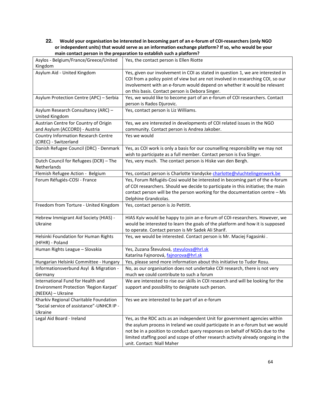#### **22. Would your organisation be interested in becoming part of an e-forum of COI-researchers (only NGO or independent units) that would serve as an information exchange platform? If so, who would be your main contact person in the preparation to establish such a platform?**

| Asylos - Belgium/France/Greece/United<br>Kingdom                                                 | Yes, the contact person is Ellen Riotte                                                                                                                                                                                                                                                                                                                        |
|--------------------------------------------------------------------------------------------------|----------------------------------------------------------------------------------------------------------------------------------------------------------------------------------------------------------------------------------------------------------------------------------------------------------------------------------------------------------------|
| Asylum Aid - United Kingdom                                                                      | Yes, given our involvement in COI as stated in question 1, we are interested in<br>COI from a policy point of view but are not involved in researching COI, so our<br>involvement with an e-forum would depend on whether it would be relevant<br>on this basis. Contact person is Debora Singer.                                                              |
| Asylum Protection Centre (APC) - Serbia                                                          | Yes, we would like to become part of an e-forum of COI researchers. Contact<br>person is Rados Djurovic.                                                                                                                                                                                                                                                       |
| Asylum Research Consultancy (ARC) -<br>United Kingdom                                            | Yes, contact person is Liz Williams.                                                                                                                                                                                                                                                                                                                           |
| Austrian Centre for Country of Origin<br>and Asylum (ACCORD) - Austria                           | Yes, we are interested in developments of COI related issues in the NGO<br>community. Contact person is Andrea Jakober.                                                                                                                                                                                                                                        |
| <b>Country Information Research Centre</b><br>(CIREC) - Switzerland                              | Yes we would                                                                                                                                                                                                                                                                                                                                                   |
| Danish Refugee Council (DRC) - Denmark                                                           | Yes, as COI work is only a basis for our counselling responsibility we may not<br>wish to participate as a full member. Contact person is Eva Singer.                                                                                                                                                                                                          |
| Dutch Council for Refugees (DCR) - The<br>Netherlands                                            | Yes, very much. The contact person is Hiske van den Bergh.                                                                                                                                                                                                                                                                                                     |
| Flemish Refugee Action - Belgium                                                                 | Yes, contact person is Charlotte Vandycke charlotte@vluchtelingenwerk.be                                                                                                                                                                                                                                                                                       |
| Forum Réfugiés-COSI - France                                                                     | Yes, Forum Réfugiés-Cosi would be interested in becoming part of the e-forum<br>of COI researchers. Should we decide to participate in this initiative; the main<br>contact person will be the person working for the documentation centre - Ms<br>Delphine Grandcolas.                                                                                        |
| Freedom from Torture - United Kingdom                                                            | Yes, contact person is Jo Pettitt.                                                                                                                                                                                                                                                                                                                             |
| Hebrew Immigrant Aid Society (HIAS) -<br>Ukraine                                                 | HIAS Kyiv would be happy to join an e-forum of COI-researchers. However, we<br>would be interested to learn the goals of the platform and how it is supposed<br>to operate. Contact person is Mr Sadek Ali Sharif.                                                                                                                                             |
| Helsinki Foundation for Human Rights<br>(HFHR) - Poland                                          | Yes, we would be interested. Contact person is Mr. Maciej Fagasinki.                                                                                                                                                                                                                                                                                           |
| Human Rights League - Slovakia                                                                   | Yes, Zuzana Števulová, stevulova@hrl.sk<br>Katarína Fajnorová, fajnorova@hrl.sk                                                                                                                                                                                                                                                                                |
| Hungarian Helsinki Committee - Hungary                                                           | Yes, please send more information about this initiative to Tudor Rosu.                                                                                                                                                                                                                                                                                         |
| Informationsverbund Asyl & Migration -<br>Germany                                                | No, as our organisation does not undertake COI research, there is not very<br>much we could contribute to such a forum                                                                                                                                                                                                                                         |
| International Fund for Health and<br>Environment Protection 'Region Karpat'<br>(NEEKA) - Ukraine | We are interested to rise our skills in COI research and will be looking for the<br>support and possibility to designate such person.                                                                                                                                                                                                                          |
| Kharkiv Regional Charitable Foundation<br>"Social service of assistance"-UNHCR IP -<br>Ukraine   | Yes we are interested to be part of an e-forum                                                                                                                                                                                                                                                                                                                 |
| Legal Aid Board - Ireland                                                                        | Yes, as the RDC acts as an independent Unit for government agencies within<br>the asylum process in Ireland we could participate in an e-forum but we would<br>not be in a position to conduct query responses on behalf of NGOs due to the<br>limited staffing pool and scope of other research activity already ongoing in the<br>unit. Contact: Niall Maher |